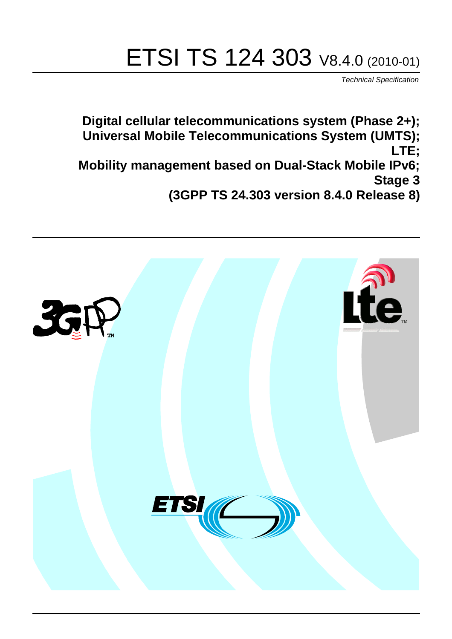# ETSI TS 124 303 V8.4.0 (2010-01)

*Technical Specification*

**Digital cellular telecommunications system (Phase 2+); Universal Mobile Telecommunications System (UMTS); LTE; Mobility management based on Dual-Stack Mobile IPv6; Stage 3 (3GPP TS 24.303 version 8.4.0 Release 8)**

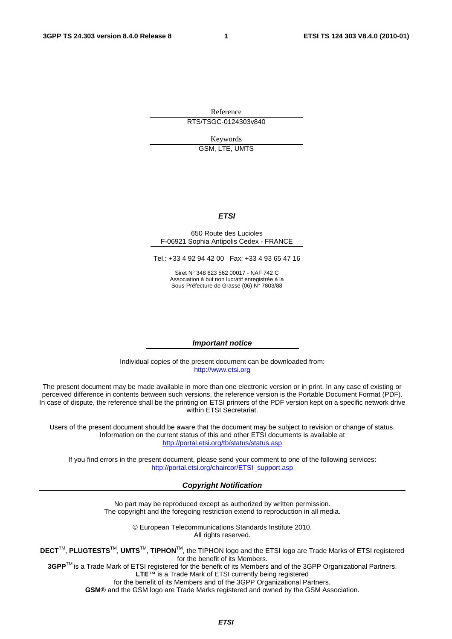Reference RTS/TSGC-0124303v840

Keywords GSM, LTE, UMTS

#### *ETSI*

#### 650 Route des Lucioles F-06921 Sophia Antipolis Cedex - FRANCE

Tel.: +33 4 92 94 42 00 Fax: +33 4 93 65 47 16

Siret N° 348 623 562 00017 - NAF 742 C Association à but non lucratif enregistrée à la Sous-Préfecture de Grasse (06) N° 7803/88

#### *Important notice*

Individual copies of the present document can be downloaded from: [http://www.etsi.org](http://www.etsi.org/)

The present document may be made available in more than one electronic version or in print. In any case of existing or perceived difference in contents between such versions, the reference version is the Portable Document Format (PDF). In case of dispute, the reference shall be the printing on ETSI printers of the PDF version kept on a specific network drive within ETSI Secretariat.

Users of the present document should be aware that the document may be subject to revision or change of status. Information on the current status of this and other ETSI documents is available at <http://portal.etsi.org/tb/status/status.asp>

If you find errors in the present document, please send your comment to one of the following services: [http://portal.etsi.org/chaircor/ETSI\\_support.asp](http://portal.etsi.org/chaircor/ETSI_support.asp)

#### *Copyright Notification*

No part may be reproduced except as authorized by written permission. The copyright and the foregoing restriction extend to reproduction in all media.

> © European Telecommunications Standards Institute 2010. All rights reserved.

**DECT**TM, **PLUGTESTS**TM, **UMTS**TM, **TIPHON**TM, the TIPHON logo and the ETSI logo are Trade Marks of ETSI registered for the benefit of its Members.

**3GPP**TM is a Trade Mark of ETSI registered for the benefit of its Members and of the 3GPP Organizational Partners. **LTE**™ is a Trade Mark of ETSI currently being registered

for the benefit of its Members and of the 3GPP Organizational Partners.

**GSM**® and the GSM logo are Trade Marks registered and owned by the GSM Association.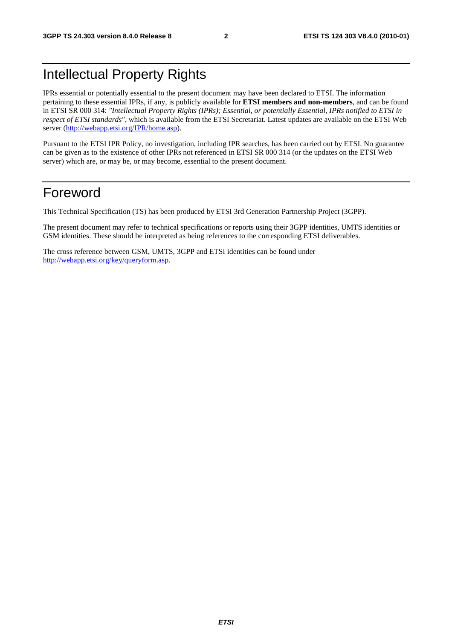## Intellectual Property Rights

IPRs essential or potentially essential to the present document may have been declared to ETSI. The information pertaining to these essential IPRs, if any, is publicly available for **ETSI members and non-members**, and can be found in ETSI SR 000 314: *"Intellectual Property Rights (IPRs); Essential, or potentially Essential, IPRs notified to ETSI in respect of ETSI standards"*, which is available from the ETSI Secretariat. Latest updates are available on the ETSI Web server [\(http://webapp.etsi.org/IPR/home.asp](http://webapp.etsi.org/IPR/home.asp)).

Pursuant to the ETSI IPR Policy, no investigation, including IPR searches, has been carried out by ETSI. No guarantee can be given as to the existence of other IPRs not referenced in ETSI SR 000 314 (or the updates on the ETSI Web server) which are, or may be, or may become, essential to the present document.

## Foreword

This Technical Specification (TS) has been produced by ETSI 3rd Generation Partnership Project (3GPP).

The present document may refer to technical specifications or reports using their 3GPP identities, UMTS identities or GSM identities. These should be interpreted as being references to the corresponding ETSI deliverables.

The cross reference between GSM, UMTS, 3GPP and ETSI identities can be found under <http://webapp.etsi.org/key/queryform.asp>.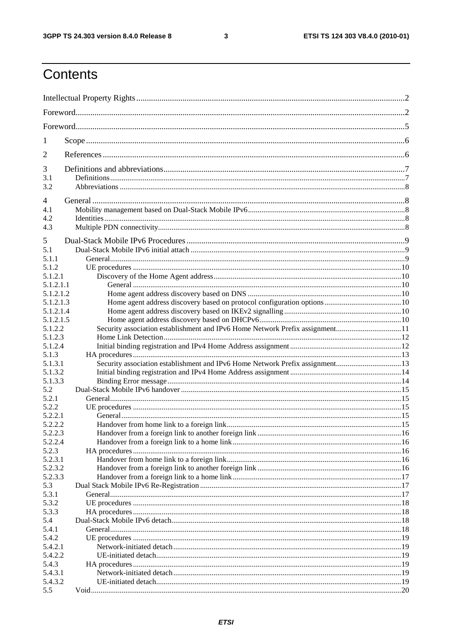$\mathbf{3}$ 

## Contents

| 1                |                                                                              |  |
|------------------|------------------------------------------------------------------------------|--|
| 2                |                                                                              |  |
| 3                |                                                                              |  |
| 3.1              |                                                                              |  |
| 3.2              |                                                                              |  |
| $\overline{4}$   |                                                                              |  |
| 4.1<br>4.2       |                                                                              |  |
| 4.3              |                                                                              |  |
|                  |                                                                              |  |
| 5                |                                                                              |  |
| 5.1              |                                                                              |  |
| 5.1.1<br>5.1.2   |                                                                              |  |
| 5.1.2.1          |                                                                              |  |
| 5.1.2.1.1        |                                                                              |  |
| 5.1.2.1.2        |                                                                              |  |
| 5.1.2.1.3        |                                                                              |  |
| 5.1.2.1.4        |                                                                              |  |
| 5.1.2.1.5        |                                                                              |  |
| 5.1.2.2          | Security association establishment and IPv6 Home Network Prefix assignment11 |  |
| 5.1.2.3          |                                                                              |  |
| 5.1.2.4          |                                                                              |  |
| 5.1.3<br>5.1.3.1 | Security association establishment and IPv6 Home Network Prefix assignment13 |  |
| 5.1.3.2          |                                                                              |  |
| 5.1.3.3          |                                                                              |  |
| 5.2              |                                                                              |  |
| 5.2.1            |                                                                              |  |
| 5.2.2            |                                                                              |  |
| 5.2.2.1          |                                                                              |  |
| 5.2.2.2          |                                                                              |  |
| 5.2.2.3          |                                                                              |  |
| 5.2.2.4          |                                                                              |  |
| 5.2.3<br>5.2.3.1 |                                                                              |  |
| 5.2.3.2          |                                                                              |  |
| 5.2.3.3          |                                                                              |  |
| 5.3              |                                                                              |  |
| 5.3.1            |                                                                              |  |
| 5.3.2            |                                                                              |  |
| 5.3.3            |                                                                              |  |
| 5.4              |                                                                              |  |
| 5.4.1            |                                                                              |  |
| 5.4.2<br>5.4.2.1 |                                                                              |  |
| 5.4.2.2          |                                                                              |  |
| 5.4.3            |                                                                              |  |
| 5.4.3.1          |                                                                              |  |
| 5.4.3.2          |                                                                              |  |
| 5.5              |                                                                              |  |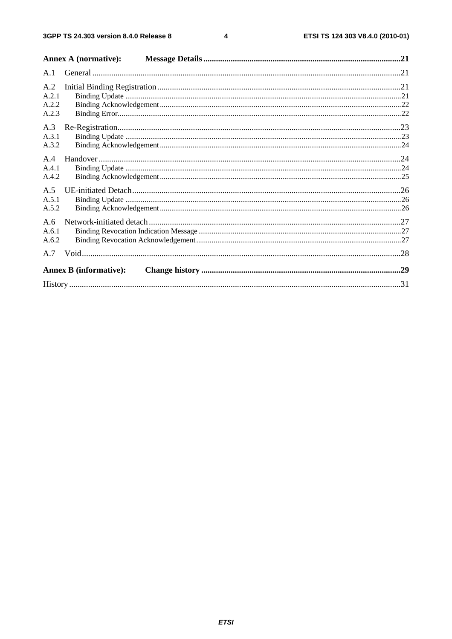$\overline{\mathbf{4}}$ 

|                | <b>Annex A (normative):</b>   |  |
|----------------|-------------------------------|--|
| A.1            |                               |  |
| A.2<br>A.2.1   |                               |  |
| A.2.2<br>A.2.3 |                               |  |
| A.3            |                               |  |
| A.3.1<br>A.3.2 |                               |  |
| A.4<br>A.4.1   |                               |  |
| A.4.2          |                               |  |
| A.5<br>A.5.1   |                               |  |
| A.5.2          |                               |  |
| A.6            |                               |  |
| A.6.1<br>A.6.2 |                               |  |
|                |                               |  |
|                | <b>Annex B</b> (informative): |  |
|                |                               |  |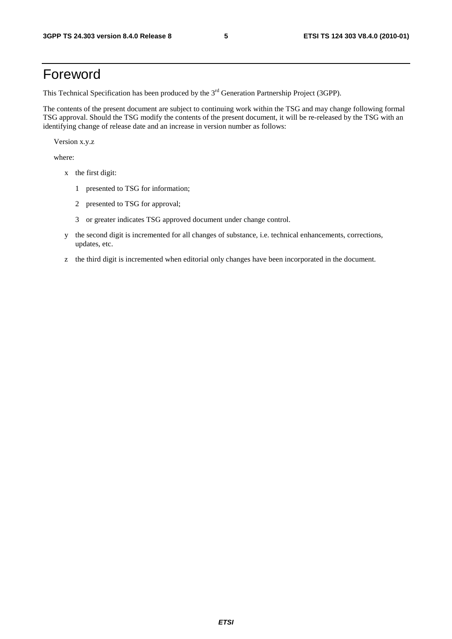## Foreword

This Technical Specification has been produced by the 3<sup>rd</sup> Generation Partnership Project (3GPP).

The contents of the present document are subject to continuing work within the TSG and may change following formal TSG approval. Should the TSG modify the contents of the present document, it will be re-released by the TSG with an identifying change of release date and an increase in version number as follows:

Version x.y.z

where:

- x the first digit:
	- 1 presented to TSG for information;
	- 2 presented to TSG for approval;
	- 3 or greater indicates TSG approved document under change control.
- y the second digit is incremented for all changes of substance, i.e. technical enhancements, corrections, updates, etc.
- z the third digit is incremented when editorial only changes have been incorporated in the document.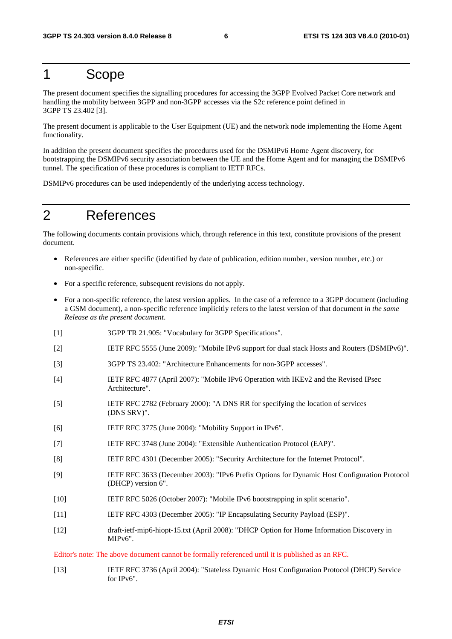## 1 Scope

The present document specifies the signalling procedures for accessing the 3GPP Evolved Packet Core network and handling the mobility between 3GPP and non-3GPP accesses via the S2c reference point defined in 3GPP TS 23.402 [3].

The present document is applicable to the User Equipment (UE) and the network node implementing the Home Agent functionality.

In addition the present document specifies the procedures used for the DSMIPv6 Home Agent discovery, for bootstrapping the DSMIPv6 security association between the UE and the Home Agent and for managing the DSMIPv6 tunnel. The specification of these procedures is compliant to IETF RFCs.

DSMIPv6 procedures can be used independently of the underlying access technology.

## 2 References

The following documents contain provisions which, through reference in this text, constitute provisions of the present document.

- References are either specific (identified by date of publication, edition number, version number, etc.) or non-specific.
- For a specific reference, subsequent revisions do not apply.
- For a non-specific reference, the latest version applies. In the case of a reference to a 3GPP document (including a GSM document), a non-specific reference implicitly refers to the latest version of that document *in the same Release as the present document*.
- [1] 3GPP TR 21.905: "Vocabulary for 3GPP Specifications".
- [2] IETF RFC 5555 (June 2009): "Mobile IPv6 support for dual stack Hosts and Routers (DSMIPv6)".
- [3] 3GPP TS 23.402: "Architecture Enhancements for non-3GPP accesses".
- [4] IETF RFC 4877 (April 2007): "Mobile IPv6 Operation with IKEv2 and the Revised IPsec Architecture".
- [5] IETF RFC 2782 (February 2000): "A DNS RR for specifying the location of services (DNS SRV)".
- [6] IETF RFC 3775 (June 2004): "Mobility Support in IPv6".
- [7] IETF RFC 3748 (June 2004): "Extensible Authentication Protocol (EAP)".
- [8] IETF RFC 4301 (December 2005): "Security Architecture for the Internet Protocol".
- [9] IETF RFC 3633 (December 2003): "IPv6 Prefix Options for Dynamic Host Configuration Protocol (DHCP) version 6".
- [10] IETF RFC 5026 (October 2007): "Mobile IPv6 bootstrapping in split scenario".
- [11] IETF RFC 4303 (December 2005): "IP Encapsulating Security Payload (ESP)".
- [12] draft-ietf-mip6-hiopt-15.txt (April 2008): "DHCP Option for Home Information Discovery in MIPv6".

Editor's note: The above document cannot be formally referenced until it is published as an RFC.

[13] IETF RFC 3736 (April 2004): "Stateless Dynamic Host Configuration Protocol (DHCP) Service for IPv6".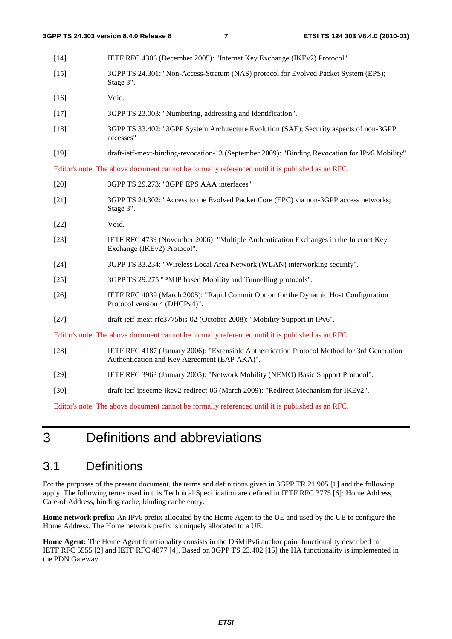Stage 3".

- [14] IETF RFC 4306 (December 2005): "Internet Key Exchange (IKEv2) Protocol". [15] 3GPP TS 24.301: "Non-Access-Stratum (NAS) protocol for Evolved Packet System (EPS);
- [16] Void.
- [17] 3GPP TS 23.003: "Numbering, addressing and identification".
- [18] 3GPP TS 33.402: "3GPP System Architecture Evolution (SAE); Security aspects of non-3GPP accesses"
- [19] draft-ietf-mext-binding-revocation-13 (September 2009): "Binding Revocation for IPv6 Mobility".

Editor's note: The above document cannot be formally referenced until it is published as an RFC.

- [20] 3GPP TS 29.273: "3GPP EPS AAA interfaces"
- [21] 3GPP TS 24.302: "Access to the Evolved Packet Core (EPC) via non-3GPP access networks; Stage 3".
- [22] Void.
- [23] IETF RFC 4739 (November 2006): "Multiple Authentication Exchanges in the Internet Key Exchange (IKEv2) Protocol".
- [24] 3GPP TS 33.234: "Wireless Local Area Network (WLAN) interworking security".
- [25] 3GPP TS 29.275 "PMIP based Mobility and Tunnelling protocols".
- [26] IETF RFC 4039 (March 2005): "Rapid Commit Option for the Dynamic Host Configuration Protocol version 4 (DHCPv4)".
- [27] draft-ietf-mext-rfc3775bis-02 (October 2008): "Mobility Support in IPv6".

Editor's note: The above document cannot be formally referenced until it is published as an RFC.

- [28] IETF RFC 4187 (January 2006): "Extensible Authentication Protocol Method for 3rd Generation Authentication and Key Agreement (EAP AKA)".
- [29] IETF RFC 3963 (January 2005): "Network Mobility (NEMO) Basic Support Protocol".
- [30] draft-ietf-ipsecme-ikev2-redirect-06 (March 2009): "Redirect Mechanism for IKEv2".

Editor's note: The above document cannot be formally referenced until it is published as an RFC.

## 3 Definitions and abbreviations

### 3.1 Definitions

For the purposes of the present document, the terms and definitions given in 3GPP TR 21.905 [1] and the following apply. The following terms used in this Technical Specification are defined in IETF RFC 3775 [6]: Home Address, Care-of Address, binding cache, binding cache entry.

**Home network prefix:** An IPv6 prefix allocated by the Home Agent to the UE and used by the UE to configure the Home Address. The Home network prefix is uniquely allocated to a UE.

**Home Agent:** The Home Agent functionality consists in the DSMIPv6 anchor point functionality described in IETF RFC 5555 [2] and IETF RFC 4877 [4]. Based on 3GPP TS 23.402 [15] the HA functionality is implemented in the PDN Gateway.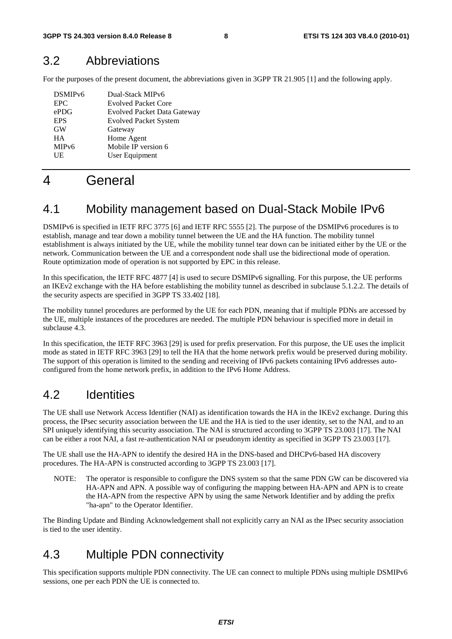### 3.2 Abbreviations

For the purposes of the present document, the abbreviations given in 3GPP TR 21.905 [1] and the following apply.

| DSMIP <sub>v6</sub> | Dual-Stack MIPv6                   |
|---------------------|------------------------------------|
| EPC.                | <b>Evolved Packet Core</b>         |
| ePDG                | <b>Evolved Packet Data Gateway</b> |
| <b>EPS</b>          | <b>Evolved Packet System</b>       |
| <b>GW</b>           | Gateway                            |
| <b>HA</b>           | Home Agent                         |
| MIP <sub>v</sub> 6  | Mobile IP version 6                |
| UE                  | User Equipment                     |
|                     |                                    |

## 4 General

### 4.1 Mobility management based on Dual-Stack Mobile IPv6

DSMIPv6 is specified in IETF RFC 3775 [6] and IETF RFC 5555 [2]. The purpose of the DSMIPv6 procedures is to establish, manage and tear down a mobility tunnel between the UE and the HA function. The mobility tunnel establishment is always initiated by the UE, while the mobility tunnel tear down can be initiated either by the UE or the network. Communication between the UE and a correspondent node shall use the bidirectional mode of operation. Route optimization mode of operation is not supported by EPC in this release.

In this specification, the IETF RFC 4877 [4] is used to secure DSMIPv6 signalling. For this purpose, the UE performs an IKEv2 exchange with the HA before establishing the mobility tunnel as described in subclause 5.1.2.2. The details of the security aspects are specified in 3GPP TS 33.402 [18].

The mobility tunnel procedures are performed by the UE for each PDN, meaning that if multiple PDNs are accessed by the UE, multiple instances of the procedures are needed. The multiple PDN behaviour is specified more in detail in subclause 4.3.

In this specification, the IETF RFC 3963 [29] is used for prefix preservation. For this purpose, the UE uses the implicit mode as stated in IETF RFC 3963 [29] to tell the HA that the home network prefix would be preserved during mobility. The support of this operation is limited to the sending and receiving of IPv6 packets containing IPv6 addresses autoconfigured from the home network prefix, in addition to the IPv6 Home Address.

## 4.2 Identities

The UE shall use Network Access Identifier (NAI) as identification towards the HA in the IKEv2 exchange. During this process, the IPsec security association between the UE and the HA is tied to the user identity, set to the NAI, and to an SPI uniquely identifying this security association. The NAI is structured according to 3GPP TS 23.003 [17]. The NAI can be either a root NAI, a fast re-authentication NAI or pseudonym identity as specified in 3GPP TS 23.003 [17].

The UE shall use the HA-APN to identify the desired HA in the DNS-based and DHCPv6-based HA discovery procedures. The HA-APN is constructed according to 3GPP TS 23.003 [17].

NOTE: The operator is responsible to configure the DNS system so that the same PDN GW can be discovered via HA-APN and APN. A possible way of configuring the mapping between HA-APN and APN is to create the HA-APN from the respective APN by using the same Network Identifier and by adding the prefix "ha-apn" to the Operator Identifier.

The Binding Update and Binding Acknowledgement shall not explicitly carry an NAI as the IPsec security association is tied to the user identity.

## 4.3 Multiple PDN connectivity

This specification supports multiple PDN connectivity. The UE can connect to multiple PDNs using multiple DSMIPv6 sessions, one per each PDN the UE is connected to.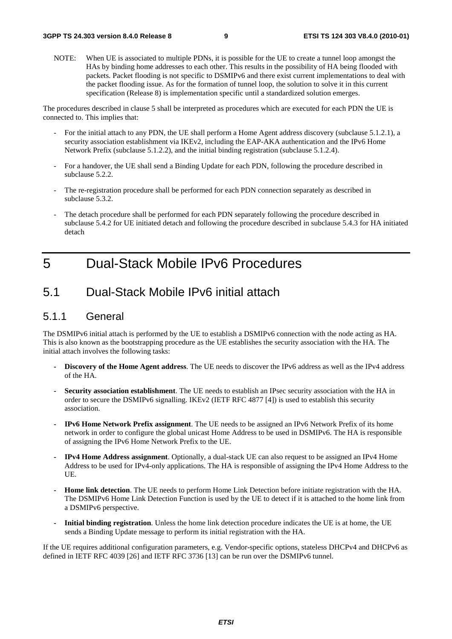NOTE: When UE is associated to multiple PDNs, it is possible for the UE to create a tunnel loop amongst the HAs by binding home addresses to each other. This results in the possibility of HA being flooded with packets. Packet flooding is not specific to DSMIPv6 and there exist current implementations to deal with the packet flooding issue. As for the formation of tunnel loop, the solution to solve it in this current specification (Release 8) is implementation specific until a standardized solution emerges.

The procedures described in clause 5 shall be interpreted as procedures which are executed for each PDN the UE is connected to. This implies that:

- For the initial attach to any PDN, the UE shall perform a Home Agent address discovery (subclause 5.1.2.1), a security association establishment via IKEv2, including the EAP-AKA authentication and the IPv6 Home Network Prefix (subclause 5.1.2.2), and the initial binding registration (subclause 5.1.2.4).
- For a handover, the UE shall send a Binding Update for each PDN, following the procedure described in subclause 5.2.2.
- The re-registration procedure shall be performed for each PDN connection separately as described in subclause 5.3.2.
- The detach procedure shall be performed for each PDN separately following the procedure described in subclause 5.4.2 for UE initiated detach and following the procedure described in subclause 5.4.3 for HA initiated detach

## 5 Dual-Stack Mobile IPv6 Procedures

### 5.1 Dual-Stack Mobile IPv6 initial attach

### 5.1.1 General

The DSMIPv6 initial attach is performed by the UE to establish a DSMIPv6 connection with the node acting as HA. This is also known as the bootstrapping procedure as the UE establishes the security association with the HA. The initial attach involves the following tasks:

- **Discovery of the Home Agent address**. The UE needs to discover the IPv6 address as well as the IPv4 address of the HA.
- **Security association establishment**. The UE needs to establish an IPsec security association with the HA in order to secure the DSMIPv6 signalling. IKEv2 (IETF RFC 4877 [4]) is used to establish this security association.
- **IPv6 Home Network Prefix assignment**. The UE needs to be assigned an IPv6 Network Prefix of its home network in order to configure the global unicast Home Address to be used in DSMIPv6. The HA is responsible of assigning the IPv6 Home Network Prefix to the UE.
- **IPv4 Home Address assignment**. Optionally, a dual-stack UE can also request to be assigned an IPv4 Home Address to be used for IPv4-only applications. The HA is responsible of assigning the IPv4 Home Address to the UE.
- **Home link detection**. The UE needs to perform Home Link Detection before initiate registration with the HA. The DSMIPv6 Home Link Detection Function is used by the UE to detect if it is attached to the home link from a DSMIPv6 perspective.
- **Initial binding registration**. Unless the home link detection procedure indicates the UE is at home, the UE sends a Binding Update message to perform its initial registration with the HA.

If the UE requires additional configuration parameters, e.g. Vendor-specific options, stateless DHCPv4 and DHCPv6 as defined in IETF RFC 4039 [26] and IETF RFC 3736 [13] can be run over the DSMIPv6 tunnel.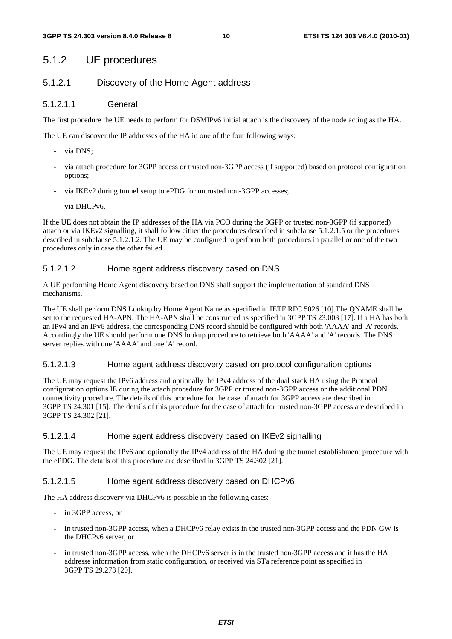### 5.1.2 UE procedures

### 5.1.2.1 Discovery of the Home Agent address

#### 5.1.2.1.1 General

The first procedure the UE needs to perform for DSMIPv6 initial attach is the discovery of the node acting as the HA.

The UE can discover the IP addresses of the HA in one of the four following ways:

- via DNS;
- via attach procedure for 3GPP access or trusted non-3GPP access (if supported) based on protocol configuration options;
- via IKEv2 during tunnel setup to ePDG for untrusted non-3GPP accesses;
- via DHCPv6.

If the UE does not obtain the IP addresses of the HA via PCO during the 3GPP or trusted non-3GPP (if supported) attach or via IKEv2 signalling, it shall follow either the procedures described in subclause 5.1.2.1.5 or the procedures described in subclause 5.1.2.1.2. The UE may be configured to perform both procedures in parallel or one of the two procedures only in case the other failed.

#### 5.1.2.1.2 Home agent address discovery based on DNS

A UE performing Home Agent discovery based on DNS shall support the implementation of standard DNS mechanisms.

The UE shall perform DNS Lookup by Home Agent Name as specified in IETF RFC 5026 [10].The QNAME shall be set to the requested HA-APN. The HA-APN shall be constructed as specified in 3GPP TS 23.003 [17]. If a HA has both an IPv4 and an IPv6 address, the corresponding DNS record should be configured with both 'AAAA' and 'A' records. Accordingly the UE should perform one DNS lookup procedure to retrieve both 'AAAA' and 'A' records. The DNS server replies with one 'AAAA' and one 'A' record.

#### 5.1.2.1.3 Home agent address discovery based on protocol configuration options

The UE may request the IPv6 address and optionally the IPv4 address of the dual stack HA using the Protocol configuration options IE during the attach procedure for 3GPP or trusted non-3GPP access or the additional PDN connectivity procedure. The details of this procedure for the case of attach for 3GPP access are described in 3GPP TS 24.301 [15]. The details of this procedure for the case of attach for trusted non-3GPP access are described in 3GPP TS 24.302 [21].

#### 5.1.2.1.4 Home agent address discovery based on IKEv2 signalling

The UE may request the IPv6 and optionally the IPv4 address of the HA during the tunnel establishment procedure with the ePDG. The details of this procedure are described in 3GPP TS 24.302 [21].

#### 5.1.2.1.5 Home agent address discovery based on DHCPv6

The HA address discovery via DHCPv6 is possible in the following cases:

- in 3GPP access, or
- in trusted non-3GPP access, when a DHCPv6 relay exists in the trusted non-3GPP access and the PDN GW is the DHCPv6 server, or
- in trusted non-3GPP access, when the DHCPv6 server is in the trusted non-3GPP access and it has the HA addresse information from static configuration, or received via STa reference point as specified in 3GPP TS 29.273 [20].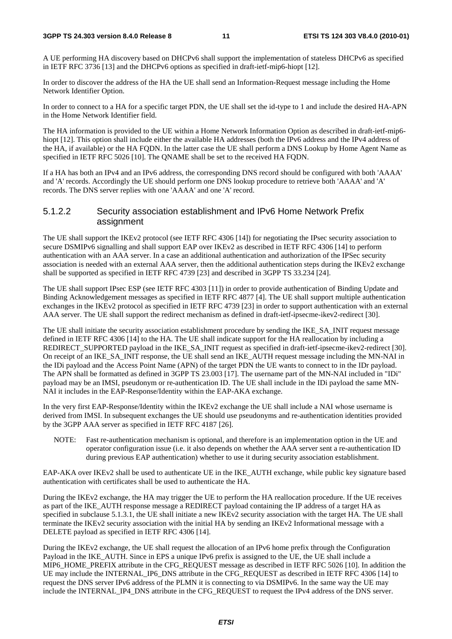#### **3GPP TS 24.303 version 8.4.0 Release 8 11 ETSI TS 124 303 V8.4.0 (2010-01)**

A UE performing HA discovery based on DHCPv6 shall support the implementation of stateless DHCPv6 as specified in IETF RFC 3736 [13] and the DHCPv6 options as specified in draft-ietf-mip6-hiopt [12].

In order to discover the address of the HA the UE shall send an Information-Request message including the Home Network Identifier Option.

In order to connect to a HA for a specific target PDN, the UE shall set the id-type to 1 and include the desired HA-APN in the Home Network Identifier field.

The HA information is provided to the UE within a Home Network Information Option as described in draft-ietf-mip6 hiopt [12]. This option shall include either the available HA addresses (both the IPv6 address and the IPv4 address of the HA, if available) or the HA FQDN. In the latter case the UE shall perform a DNS Lookup by Home Agent Name as specified in IETF RFC 5026 [10]. The QNAME shall be set to the received HA FQDN.

If a HA has both an IPv4 and an IPv6 address, the corresponding DNS record should be configured with both 'AAAA' and 'A' records. Accordingly the UE should perform one DNS lookup procedure to retrieve both 'AAAA' and 'A' records. The DNS server replies with one 'AAAA' and one 'A' record.

### 5.1.2.2 Security association establishment and IPv6 Home Network Prefix assignment

The UE shall support the IKEv2 protocol (see IETF RFC 4306 [14]) for negotiating the IPsec security association to secure DSMIPv6 signalling and shall support EAP over IKEv2 as described in IETF RFC 4306 [14] to perform authentication with an AAA server. In a case an additional authentication and authorization of the IPSec security association is needed with an external AAA server, then the additional authentication steps during the IKEv2 exchange shall be supported as specified in IETF RFC 4739 [23] and described in 3GPP TS 33.234 [24].

The UE shall support IPsec ESP (see IETF RFC 4303 [11]) in order to provide authentication of Binding Update and Binding Acknowledgement messages as specified in IETF RFC 4877 [4]. The UE shall support multiple authentication exchanges in the IKEv2 protocol as specified in IETF RFC 4739 [23] in order to support authentication with an external AAA server. The UE shall support the redirect mechanism as defined in draft-ietf-ipsecme-ikev2-redirect [30].

The UE shall initiate the security association establishment procedure by sending the IKE\_SA\_INIT request message defined in IETF RFC 4306 [14] to the HA. The UE shall indicate support for the HA reallocation by including a REDIRECT\_SUPPORTED payload in the IKE\_SA\_INIT request as specified in draft-ietf-ipsecme-ikev2-redirect [30]. On receipt of an IKE\_SA\_INIT response, the UE shall send an IKE\_AUTH request message including the MN-NAI in the IDi payload and the Access Point Name (APN) of the target PDN the UE wants to connect to in the IDr payload. The APN shall be formatted as defined in 3GPP TS 23.003 [17]. The username part of the MN-NAI included in "IDi" payload may be an IMSI, pseudonym or re-authentication ID. The UE shall include in the IDi payload the same MN-NAI it includes in the EAP-Response/Identity within the EAP-AKA exchange.

In the very first EAP-Response/Identity within the IKEv2 exchange the UE shall include a NAI whose username is derived from IMSI. In subsequent exchanges the UE should use pseudonyms and re-authentication identities provided by the 3GPP AAA server as specified in IETF RFC 4187 [26].

NOTE: Fast re-authentication mechanism is optional, and therefore is an implementation option in the UE and operator configuration issue (i.e. it also depends on whether the AAA server sent a re-authentication ID during previous EAP authentication) whether to use it during security association establishment.

EAP-AKA over IKEv2 shall be used to authenticate UE in the IKE\_AUTH exchange, while public key signature based authentication with certificates shall be used to authenticate the HA.

During the IKEv2 exchange, the HA may trigger the UE to perform the HA reallocation procedure. If the UE receives as part of the IKE\_AUTH response message a REDIRECT payload containing the IP address of a target HA as specified in subclause 5.1.3.1, the UE shall initiate a new IKEv2 security association with the target HA. The UE shall terminate the IKEv2 security association with the initial HA by sending an IKEv2 Informational message with a DELETE payload as specified in IETF RFC 4306 [14].

During the IKEv2 exchange, the UE shall request the allocation of an IPv6 home prefix through the Configuration Payload in the IKE\_AUTH. Since in EPS a unique IPv6 prefix is assigned to the UE, the UE shall include a MIP6\_HOME\_PREFIX attribute in the CFG\_REQUEST message as described in IETF RFC 5026 [10]. In addition the UE may include the INTERNAL\_IP6\_DNS attribute in the CFG\_REQUEST as described in IETF RFC 4306 [14] to request the DNS server IPv6 address of the PLMN it is connecting to via DSMIPv6. In the same way the UE may include the INTERNAL\_IP4\_DNS attribute in the CFG\_REQUEST to request the IPv4 address of the DNS server.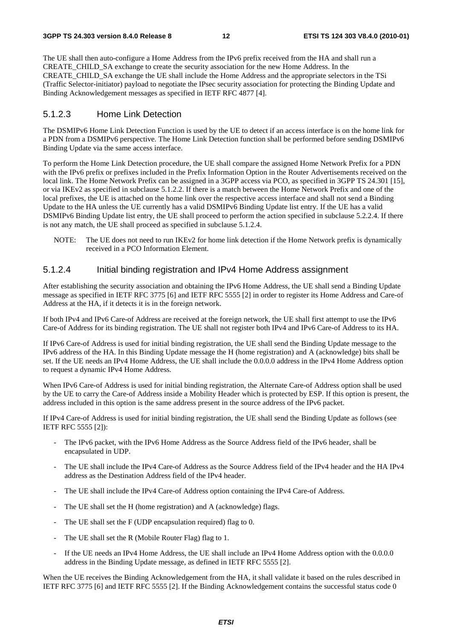The UE shall then auto-configure a Home Address from the IPv6 prefix received from the HA and shall run a CREATE\_CHILD\_SA exchange to create the security association for the new Home Address. In the CREATE\_CHILD\_SA exchange the UE shall include the Home Address and the appropriate selectors in the TSi (Traffic Selector-initiator) payload to negotiate the IPsec security association for protecting the Binding Update and Binding Acknowledgement messages as specified in IETF RFC 4877 [4].

### 5.1.2.3 Home Link Detection

The DSMIPv6 Home Link Detection Function is used by the UE to detect if an access interface is on the home link for a PDN from a DSMIPv6 perspective. The Home Link Detection function shall be performed before sending DSMIPv6 Binding Update via the same access interface.

To perform the Home Link Detection procedure, the UE shall compare the assigned Home Network Prefix for a PDN with the IPv6 prefix or prefixes included in the Prefix Information Option in the Router Advertisements received on the local link. The Home Network Prefix can be assigned in a 3GPP access via PCO, as specified in 3GPP TS 24.301 [15], or via IKEv2 as specified in subclause 5.1.2.2. If there is a match between the Home Network Prefix and one of the local prefixes, the UE is attached on the home link over the respective access interface and shall not send a Binding Update to the HA unless the UE currently has a valid DSMIPv6 Binding Update list entry. If the UE has a valid DSMIPv6 Binding Update list entry, the UE shall proceed to perform the action specified in subclause 5.2.2.4. If there is not any match, the UE shall proceed as specified in subclause 5.1.2.4.

NOTE: The UE does not need to run IKEv2 for home link detection if the Home Network prefix is dynamically received in a PCO Information Element.

### 5.1.2.4 Initial binding registration and IPv4 Home Address assignment

After establishing the security association and obtaining the IPv6 Home Address, the UE shall send a Binding Update message as specified in IETF RFC 3775 [6] and IETF RFC 5555 [2] in order to register its Home Address and Care-of Address at the HA, if it detects it is in the foreign network.

If both IPv4 and IPv6 Care-of Address are received at the foreign network, the UE shall first attempt to use the IPv6 Care-of Address for its binding registration. The UE shall not register both IPv4 and IPv6 Care-of Address to its HA.

If IPv6 Care-of Address is used for initial binding registration, the UE shall send the Binding Update message to the IPv6 address of the HA. In this Binding Update message the H (home registration) and A (acknowledge) bits shall be set. If the UE needs an IPv4 Home Address, the UE shall include the 0.0.0.0 address in the IPv4 Home Address option to request a dynamic IPv4 Home Address.

When IPv6 Care-of Address is used for initial binding registration, the Alternate Care-of Address option shall be used by the UE to carry the Care-of Address inside a Mobility Header which is protected by ESP. If this option is present, the address included in this option is the same address present in the source address of the IPv6 packet.

If IPv4 Care-of Address is used for initial binding registration, the UE shall send the Binding Update as follows (see IETF RFC 5555 [2]):

- The IPv6 packet, with the IPv6 Home Address as the Source Address field of the IPv6 header, shall be encapsulated in UDP.
- The UE shall include the IPv4 Care-of Address as the Source Address field of the IPv4 header and the HA IPv4 address as the Destination Address field of the IPv4 header.
- The UE shall include the IPv4 Care-of Address option containing the IPv4 Care-of Address.
- The UE shall set the H (home registration) and A (acknowledge) flags.
- The UE shall set the F (UDP encapsulation required) flag to 0.
- The UE shall set the R (Mobile Router Flag) flag to 1.
- If the UE needs an IPv4 Home Address, the UE shall include an IPv4 Home Address option with the 0.0.0.0 address in the Binding Update message, as defined in IETF RFC 5555 [2].

When the UE receives the Binding Acknowledgement from the HA, it shall validate it based on the rules described in IETF RFC 3775 [6] and IETF RFC 5555 [2]. If the Binding Acknowledgement contains the successful status code 0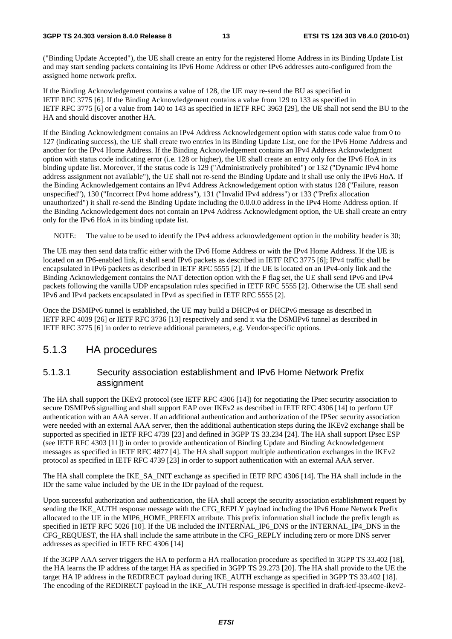("Binding Update Accepted"), the UE shall create an entry for the registered Home Address in its Binding Update List and may start sending packets containing its IPv6 Home Address or other IPv6 addresses auto-configured from the assigned home network prefix.

If the Binding Acknowledgement contains a value of 128, the UE may re-send the BU as specified in IETF RFC 3775 [6]. If the Binding Acknowledgement contains a value from 129 to 133 as specified in IETF RFC 3775 [6] or a value from 140 to 143 as specified in IETF RFC 3963 [29], the UE shall not send the BU to the HA and should discover another HA.

If the Binding Acknowledgment contains an IPv4 Address Acknowledgement option with status code value from 0 to 127 (indicating success), the UE shall create two entries in its Binding Update List, one for the IPv6 Home Address and another for the IPv4 Home Address. If the Binding Acknowledgement contains an IPv4 Address Acknowledgment option with status code indicating error (i.e. 128 or higher), the UE shall create an entry only for the IPv6 HoA in its binding update list. Moreover, if the status code is 129 ("Administratively prohibited") or 132 ("Dynamic IPv4 home address assignment not available"), the UE shall not re-send the Binding Update and it shall use only the IPv6 HoA. If the Binding Acknowledgement contains an IPv4 Address Acknowledgement option with status 128 ("Failure, reason unspecified"), 130 ("Incorrect IPv4 home address"), 131 ("Invalid IPv4 address") or 133 ("Prefix allocation unauthorized") it shall re-send the Binding Update including the 0.0.0.0 address in the IPv4 Home Address option. If the Binding Acknowledgement does not contain an IPv4 Address Acknowledgment option, the UE shall create an entry only for the IPv6 HoA in its binding update list.

NOTE: The value to be used to identify the IPv4 address acknowledgement option in the mobility header is 30;

The UE may then send data traffic either with the IPv6 Home Address or with the IPv4 Home Address. If the UE is located on an IP6-enabled link, it shall send IPv6 packets as described in IETF RFC 3775 [6]; IPv4 traffic shall be encapsulated in IPv6 packets as described in IETF RFC 5555 [2]. If the UE is located on an IPv4-only link and the Binding Acknowledgement contains the NAT detection option with the F flag set, the UE shall send IPv6 and IPv4 packets following the vanilla UDP encapsulation rules specified in IETF RFC 5555 [2]. Otherwise the UE shall send IPv6 and IPv4 packets encapsulated in IPv4 as specified in IETF RFC 5555 [2].

Once the DSMIPv6 tunnel is established, the UE may build a DHCPv4 or DHCPv6 message as described in IETF RFC 4039 [26] or IETF RFC 3736 [13] respectively and send it via the DSMIPv6 tunnel as described in IETF RFC 3775 [6] in order to retrieve additional parameters, e.g. Vendor-specific options.

### 5.1.3 HA procedures

### 5.1.3.1 Security association establishment and IPv6 Home Network Prefix assignment

The HA shall support the IKEv2 protocol (see IETF RFC 4306 [14]) for negotiating the IPsec security association to secure DSMIPv6 signalling and shall support EAP over IKEv2 as described in IETF RFC 4306 [14] to perform UE authentication with an AAA server. If an additional authentication and authorization of the IPSec security association were needed with an external AAA server, then the additional authentication steps during the IKEv2 exchange shall be supported as specified in IETF RFC 4739 [23] and defined in 3GPP TS 33.234 [24]. The HA shall support IPsec ESP (see IETF RFC 4303 [11]) in order to provide authentication of Binding Update and Binding Acknowledgement messages as specified in IETF RFC 4877 [4]. The HA shall support multiple authentication exchanges in the IKEv2 protocol as specified in IETF RFC 4739 [23] in order to support authentication with an external AAA server.

The HA shall complete the IKE\_SA\_INIT exchange as specified in IETF RFC 4306 [14]. The HA shall include in the IDr the same value included by the UE in the IDr payload of the request.

Upon successful authorization and authentication, the HA shall accept the security association establishment request by sending the IKE\_AUTH response message with the CFG\_REPLY payload including the IPv6 Home Network Prefix allocated to the UE in the MIP6\_HOME\_PREFIX attribute. This prefix information shall include the prefix length as specified in IETF RFC 5026 [10]. If the UE included the INTERNAL\_IP6\_DNS or the INTERNAL\_IP4\_DNS in the CFG\_REQUEST, the HA shall include the same attribute in the CFG\_REPLY including zero or more DNS server addresses as specified in IETF RFC 4306 [14]

If the 3GPP AAA server triggers the HA to perform a HA reallocation procedure as specified in 3GPP TS 33.402 [18], the HA learns the IP address of the target HA as specified in 3GPP TS 29.273 [20]. The HA shall provide to the UE the target HA IP address in the REDIRECT payload during IKE\_AUTH exchange as specified in 3GPP TS 33.402 [18]. The encoding of the REDIRECT payload in the IKE\_AUTH response message is specified in draft-ietf-ipsecme-ikev2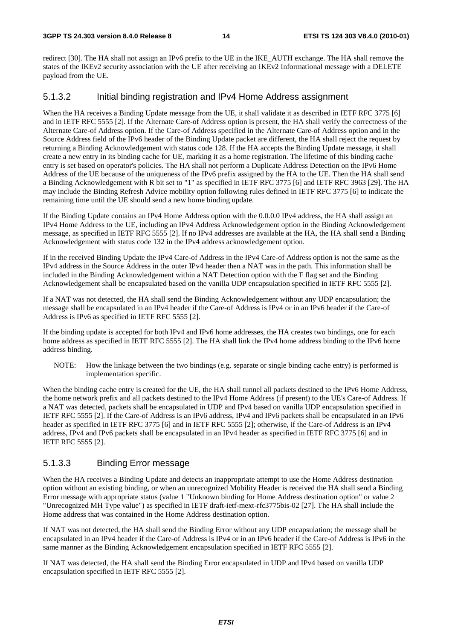redirect [30]. The HA shall not assign an IPv6 prefix to the UE in the IKE\_AUTH exchange. The HA shall remove the states of the IKEv2 security association with the UE after receiving an IKEv2 Informational message with a DELETE payload from the UE.

### 5.1.3.2 Initial binding registration and IPv4 Home Address assignment

When the HA receives a Binding Update message from the UE, it shall validate it as described in IETF RFC 3775 [6] and in IETF RFC 5555 [2]. If the Alternate Care-of Address option is present, the HA shall verify the correctness of the Alternate Care-of Address option. If the Care-of Address specified in the Alternate Care-of Address option and in the Source Address field of the IPv6 header of the Binding Update packet are different, the HA shall reject the request by returning a Binding Acknowledgement with status code 128. If the HA accepts the Binding Update message, it shall create a new entry in its binding cache for UE, marking it as a home registration. The lifetime of this binding cache entry is set based on operator's policies. The HA shall not perform a Duplicate Address Detection on the IPv6 Home Address of the UE because of the uniqueness of the IPv6 prefix assigned by the HA to the UE. Then the HA shall send a Binding Acknowledgement with R bit set to "1" as specified in IETF RFC 3775 [6] and IETF RFC 3963 [29]. The HA may include the Binding Refresh Advice mobility option following rules defined in IETF RFC 3775 [6] to indicate the remaining time until the UE should send a new home binding update.

If the Binding Update contains an IPv4 Home Address option with the 0.0.0.0 IPv4 address, the HA shall assign an IPv4 Home Address to the UE, including an IPv4 Address Acknowledgement option in the Binding Acknowledgement message, as specified in IETF RFC 5555 [2]. If no IPv4 addresses are available at the HA, the HA shall send a Binding Acknowledgement with status code 132 in the IPv4 address acknowledgement option.

If in the received Binding Update the IPv4 Care-of Address in the IPv4 Care-of Address option is not the same as the IPv4 address in the Source Address in the outer IPv4 header then a NAT was in the path. This information shall be included in the Binding Acknowledgement within a NAT Detection option with the F flag set and the Binding Acknowledgement shall be encapsulated based on the vanilla UDP encapsulation specified in IETF RFC 5555 [2].

If a NAT was not detected, the HA shall send the Binding Acknowledgement without any UDP encapsulation; the message shall be encapsulated in an IPv4 header if the Care-of Address is IPv4 or in an IPv6 header if the Care-of Address is IPv6 as specified in IETF RFC 5555 [2].

If the binding update is accepted for both IPv4 and IPv6 home addresses, the HA creates two bindings, one for each home address as specified in IETF RFC 5555 [2]. The HA shall link the IPv4 home address binding to the IPv6 home address binding.

NOTE: How the linkage between the two bindings (e.g. separate or single binding cache entry) is performed is implementation specific.

When the binding cache entry is created for the UE, the HA shall tunnel all packets destined to the IPv6 Home Address, the home network prefix and all packets destined to the IPv4 Home Address (if present) to the UE's Care-of Address. If a NAT was detected, packets shall be encapsulated in UDP and IPv4 based on vanilla UDP encapsulation specified in IETF RFC 5555 [2]. If the Care-of Address is an IPv6 address, IPv4 and IPv6 packets shall be encapsulated in an IPv6 header as specified in IETF RFC 3775 [6] and in IETF RFC 5555 [2]; otherwise, if the Care-of Address is an IPv4 address, IPv4 and IPv6 packets shall be encapsulated in an IPv4 header as specified in IETF RFC 3775 [6] and in IETF RFC 5555 [2].

### 5.1.3.3 Binding Error message

When the HA receives a Binding Update and detects an inappropriate attempt to use the Home Address destination option without an existing binding, or when an unrecognized Mobility Header is received the HA shall send a Binding Error message with appropriate status (value 1 "Unknown binding for Home Address destination option" or value 2 "Unrecognized MH Type value") as specified in IETF draft-ietf-mext-rfc3775bis-02 [27]. The HA shall include the Home address that was contained in the Home Address destination option.

If NAT was not detected, the HA shall send the Binding Error without any UDP encapsulation; the message shall be encapsulated in an IPv4 header if the Care-of Address is IPv4 or in an IPv6 header if the Care-of Address is IPv6 in the same manner as the Binding Acknowledgement encapsulation specified in IETF RFC 5555 [2].

If NAT was detected, the HA shall send the Binding Error encapsulated in UDP and IPv4 based on vanilla UDP encapsulation specified in IETF RFC 5555 [2].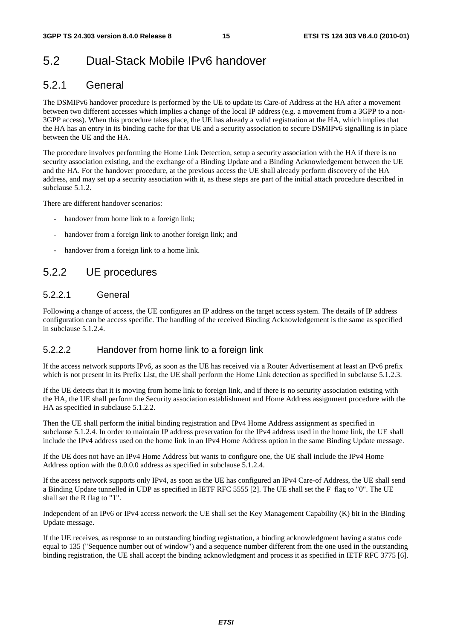## 5.2 Dual-Stack Mobile IPv6 handover

### 5.2.1 General

The DSMIPv6 handover procedure is performed by the UE to update its Care-of Address at the HA after a movement between two different accesses which implies a change of the local IP address (e.g. a movement from a 3GPP to a non-3GPP access). When this procedure takes place, the UE has already a valid registration at the HA, which implies that the HA has an entry in its binding cache for that UE and a security association to secure DSMIPv6 signalling is in place between the UE and the HA.

The procedure involves performing the Home Link Detection, setup a security association with the HA if there is no security association existing, and the exchange of a Binding Update and a Binding Acknowledgement between the UE and the HA. For the handover procedure, at the previous access the UE shall already perform discovery of the HA address, and may set up a security association with it, as these steps are part of the initial attach procedure described in subclause 5.1.2.

There are different handover scenarios:

- handover from home link to a foreign link;
- handover from a foreign link to another foreign link; and
- handover from a foreign link to a home link.

### 5.2.2 UE procedures

### 5.2.2.1 General

Following a change of access, the UE configures an IP address on the target access system. The details of IP address configuration can be access specific. The handling of the received Binding Acknowledgement is the same as specified in subclause 5.1.2.4.

### 5.2.2.2 Handover from home link to a foreign link

If the access network supports IPv6, as soon as the UE has received via a Router Advertisement at least an IPv6 prefix which is not present in its Prefix List, the UE shall perform the Home Link detection as specified in subclause 5.1.2.3.

If the UE detects that it is moving from home link to foreign link, and if there is no security association existing with the HA, the UE shall perform the Security association establishment and Home Address assignment procedure with the HA as specified in subclause 5.1.2.2.

Then the UE shall perform the initial binding registration and IPv4 Home Address assignment as specified in subclause 5.1.2.4. In order to maintain IP address preservation for the IPv4 address used in the home link, the UE shall include the IPv4 address used on the home link in an IPv4 Home Address option in the same Binding Update message.

If the UE does not have an IPv4 Home Address but wants to configure one, the UE shall include the IPv4 Home Address option with the 0.0.0.0 address as specified in subclause 5.1.2.4.

If the access network supports only IPv4, as soon as the UE has configured an IPv4 Care-of Address, the UE shall send a Binding Update tunnelled in UDP as specified in IETF RFC 5555 [2]. The UE shall set the F flag to "0". The UE shall set the R flag to "1".

Independent of an IPv6 or IPv4 access network the UE shall set the Key Management Capability (K) bit in the Binding Update message.

If the UE receives, as response to an outstanding binding registration, a binding acknowledgment having a status code equal to 135 ("Sequence number out of window") and a sequence number different from the one used in the outstanding binding registration, the UE shall accept the binding acknowledgment and process it as specified in IETF RFC 3775 [6].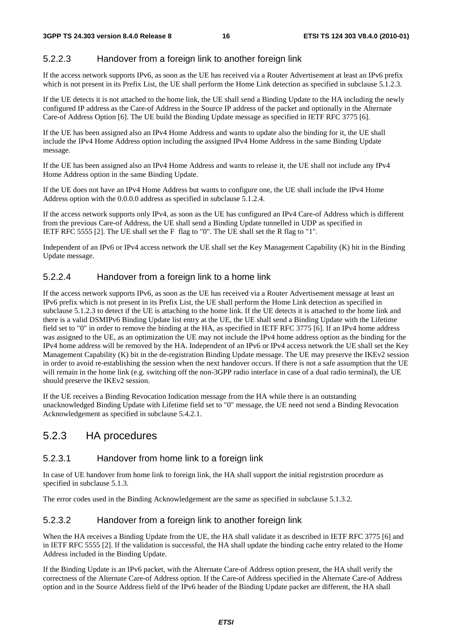### 5.2.2.3 Handover from a foreign link to another foreign link

If the access network supports IPv6, as soon as the UE has received via a Router Advertisement at least an IPv6 prefix which is not present in its Prefix List, the UE shall perform the Home Link detection as specified in subclause 5.1.2.3.

If the UE detects it is not attached to the home link, the UE shall send a Binding Update to the HA including the newly configured IP address as the Care-of Address in the Source IP address of the packet and optionally in the Alternate Care-of Address Option [6]. The UE build the Binding Update message as specified in IETF RFC 3775 [6].

If the UE has been assigned also an IPv4 Home Address and wants to update also the binding for it, the UE shall include the IPv4 Home Address option including the assigned IPv4 Home Address in the same Binding Update message.

If the UE has been assigned also an IPv4 Home Address and wants to release it, the UE shall not include any IPv4 Home Address option in the same Binding Update.

If the UE does not have an IPv4 Home Address but wants to configure one, the UE shall include the IPv4 Home Address option with the 0.0.0.0 address as specified in subclause 5.1.2.4.

If the access network supports only IPv4, as soon as the UE has configured an IPv4 Care-of Address which is different from the previous Care-of Address, the UE shall send a Binding Update tunnelled in UDP as specified in IETF RFC 5555 [2]. The UE shall set the F flag to "0". The UE shall set the R flag to "1".

Independent of an IPv6 or IPv4 access network the UE shall set the Key Management Capability (K) bit in the Binding Update message.

### 5.2.2.4 Handover from a foreign link to a home link

If the access network supports IPv6, as soon as the UE has received via a Router Advertisement message at least an IPv6 prefix which is not present in its Prefix List, the UE shall perform the Home Link detection as specified in subclause 5.1.2.3 to detect if the UE is attaching to the home link. If the UE detects it is attached to the home link and there is a valid DSMIPv6 Binding Update list entry at the UE, the UE shall send a Binding Update with the Lifetime field set to "0" in order to remove the binding at the HA, as specified in IETF RFC 3775 [6]. If an IPv4 home address was assigned to the UE, as an optimization the UE may not include the IPv4 home address option as the binding for the IPv4 home address will be removed by the HA. Independent of an IPv6 or IPv4 access network the UE shall set the Key Management Capability (K) bit in the de-registration Binding Update message. The UE may preserve the IKEv2 session in order to avoid re-establishing the session when the next handover occurs. If there is not a safe assumption that the UE will remain in the home link (e.g. switching off the non-3GPP radio interface in case of a dual radio terminal), the UE should preserve the IKEv2 session.

If the UE receives a Binding Revocation Indication message from the HA while there is an outstanding unacknowledged Binding Update with Lifetime field set to "0" message, the UE need not send a Binding Revocation Acknowledgement as specified in subclause 5.4.2.1.

### 5.2.3 HA procedures

### 5.2.3.1 Handover from home link to a foreign link

In case of UE handover from home link to foreign link, the HA shall support the initial registrstion procedure as specified in subclause 5.1.3.

The error codes used in the Binding Acknowledgement are the same as specified in subclause 5.1.3.2.

### 5.2.3.2 Handover from a foreign link to another foreign link

When the HA receives a Binding Update from the UE, the HA shall validate it as described in IETF RFC 3775 [6] and in IETF RFC 5555 [2]. If the validation is successful, the HA shall update the binding cache entry related to the Home Address included in the Binding Update.

If the Binding Update is an IPv6 packet, with the Alternate Care-of Address option present, the HA shall verify the correctness of the Alternate Care-of Address option. If the Care-of Address specified in the Alternate Care-of Address option and in the Source Address field of the IPv6 header of the Binding Update packet are different, the HA shall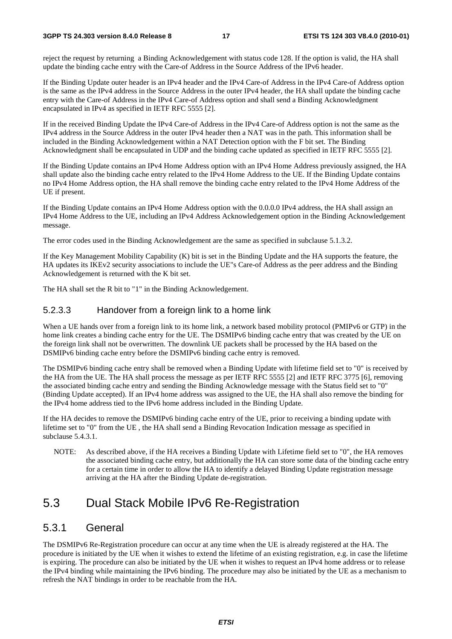#### **3GPP TS 24.303 version 8.4.0 Release 8 17 ETSI TS 124 303 V8.4.0 (2010-01)**

reject the request by returning a Binding Acknowledgement with status code 128. If the option is valid, the HA shall update the binding cache entry with the Care-of Address in the Source Address of the IPv6 header.

If the Binding Update outer header is an IPv4 header and the IPv4 Care-of Address in the IPv4 Care-of Address option is the same as the IPv4 address in the Source Address in the outer IPv4 header, the HA shall update the binding cache entry with the Care-of Address in the IPv4 Care-of Address option and shall send a Binding Acknowledgment encapsulated in IPv4 as specified in IETF RFC 5555 [2].

If in the received Binding Update the IPv4 Care-of Address in the IPv4 Care-of Address option is not the same as the IPv4 address in the Source Address in the outer IPv4 header then a NAT was in the path. This information shall be included in the Binding Acknowledgement within a NAT Detection option with the F bit set. The Binding Acknowledgment shall be encapsulated in UDP and the binding cache updated as specified in IETF RFC 5555 [2].

If the Binding Update contains an IPv4 Home Address option with an IPv4 Home Address previously assigned, the HA shall update also the binding cache entry related to the IPv4 Home Address to the UE. If the Binding Update contains no IPv4 Home Address option, the HA shall remove the binding cache entry related to the IPv4 Home Address of the UE if present.

If the Binding Update contains an IPv4 Home Address option with the 0.0.0.0 IPv4 address, the HA shall assign an IPv4 Home Address to the UE, including an IPv4 Address Acknowledgement option in the Binding Acknowledgement message.

The error codes used in the Binding Acknowledgement are the same as specified in subclause 5.1.3.2.

If the Key Management Mobility Capability (K) bit is set in the Binding Update and the HA supports the feature, the HA updates its IKEv2 security associations to include the UE"s Care-of Address as the peer address and the Binding Acknowledgement is returned with the K bit set.

The HA shall set the R bit to "1" in the Binding Acknowledgement.

### 5.2.3.3 Handover from a foreign link to a home link

When a UE hands over from a foreign link to its home link, a network based mobility protocol (PMIPv6 or GTP) in the home link creates a binding cache entry for the UE. The DSMIPv6 binding cache entry that was created by the UE on the foreign link shall not be overwritten. The downlink UE packets shall be processed by the HA based on the DSMIPv6 binding cache entry before the DSMIPv6 binding cache entry is removed.

The DSMIPv6 binding cache entry shall be removed when a Binding Update with lifetime field set to "0" is received by the HA from the UE. The HA shall process the message as per IETF RFC 5555 [2] and IETF RFC 3775 [6], removing the associated binding cache entry and sending the Binding Acknowledge message with the Status field set to "0" (Binding Update accepted). If an IPv4 home address was assigned to the UE, the HA shall also remove the binding for the IPv4 home address tied to the IPv6 home address included in the Binding Update.

If the HA decides to remove the DSMIPv6 binding cache entry of the UE, prior to receiving a binding update with lifetime set to "0" from the UE , the HA shall send a Binding Revocation Indication message as specified in subclause 5.4.3.1.

NOTE: As described above, if the HA receives a Binding Update with Lifetime field set to "0", the HA removes the associated binding cache entry, but additionally the HA can store some data of the binding cache entry for a certain time in order to allow the HA to identify a delayed Binding Update registration message arriving at the HA after the Binding Update de-registration.

## 5.3 Dual Stack Mobile IPv6 Re-Registration

### 5.3.1 General

The DSMIPv6 Re-Registration procedure can occur at any time when the UE is already registered at the HA. The procedure is initiated by the UE when it wishes to extend the lifetime of an existing registration, e.g. in case the lifetime is expiring. The procedure can also be initiated by the UE when it wishes to request an IPv4 home address or to release the IPv4 binding while maintaining the IPv6 binding. The procedure may also be initiated by the UE as a mechanism to refresh the NAT bindings in order to be reachable from the HA.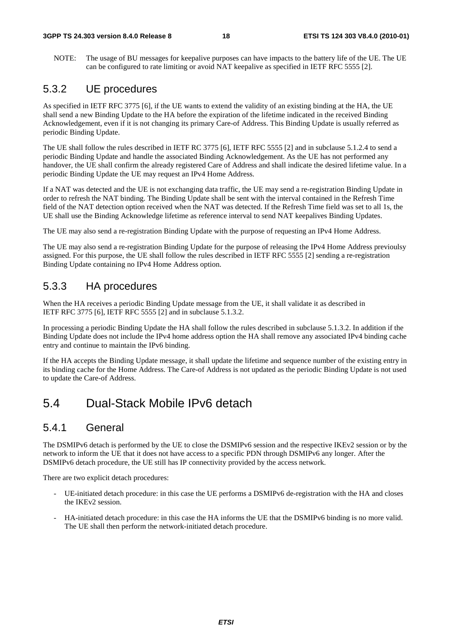NOTE: The usage of BU messages for keepalive purposes can have impacts to the battery life of the UE. The UE can be configured to rate limiting or avoid NAT keepalive as specified in IETF RFC 5555 [2].

### 5.3.2 UE procedures

As specified in IETF RFC 3775 [6], if the UE wants to extend the validity of an existing binding at the HA, the UE shall send a new Binding Update to the HA before the expiration of the lifetime indicated in the received Binding Acknowledgement, even if it is not changing its primary Care-of Address. This Binding Update is usually referred as periodic Binding Update.

The UE shall follow the rules described in IETF RC 3775 [6], IETF RFC 5555 [2] and in subclause 5.1.2.4 to send a periodic Binding Update and handle the associated Binding Acknowledgement. As the UE has not performed any handover, the UE shall confirm the already registered Care of Address and shall indicate the desired lifetime value. In a periodic Binding Update the UE may request an IPv4 Home Address.

If a NAT was detected and the UE is not exchanging data traffic, the UE may send a re-registration Binding Update in order to refresh the NAT binding. The Binding Update shall be sent with the interval contained in the Refresh Time field of the NAT detection option received when the NAT was detected. If the Refresh Time field was set to all 1s, the UE shall use the Binding Acknowledge lifetime as reference interval to send NAT keepalives Binding Updates.

The UE may also send a re-registration Binding Update with the purpose of requesting an IPv4 Home Address.

The UE may also send a re-registration Binding Update for the purpose of releasing the IPv4 Home Address previoulsy assigned. For this purpose, the UE shall follow the rules described in IETF RFC 5555 [2] sending a re-registration Binding Update containing no IPv4 Home Address option.

### 5.3.3 HA procedures

When the HA receives a periodic Binding Update message from the UE, it shall validate it as described in IETF RFC 3775 [6], IETF RFC 5555 [2] and in subclause 5.1.3.2.

In processing a periodic Binding Update the HA shall follow the rules described in subclause 5.1.3.2. In addition if the Binding Update does not include the IPv4 home address option the HA shall remove any associated IPv4 binding cache entry and continue to maintain the IPv6 binding.

If the HA accepts the Binding Update message, it shall update the lifetime and sequence number of the existing entry in its binding cache for the Home Address. The Care-of Address is not updated as the periodic Binding Update is not used to update the Care-of Address.

## 5.4 Dual-Stack Mobile IPv6 detach

### 5.4.1 General

The DSMIPv6 detach is performed by the UE to close the DSMIPv6 session and the respective IKEv2 session or by the network to inform the UE that it does not have access to a specific PDN through DSMIPv6 any longer. After the DSMIPv6 detach procedure, the UE still has IP connectivity provided by the access network.

There are two explicit detach procedures:

- UE-initiated detach procedure: in this case the UE performs a DSMIPv6 de-registration with the HA and closes the IKEv2 session.
- HA-initiated detach procedure: in this case the HA informs the UE that the DSMIPv6 binding is no more valid. The UE shall then perform the network-initiated detach procedure.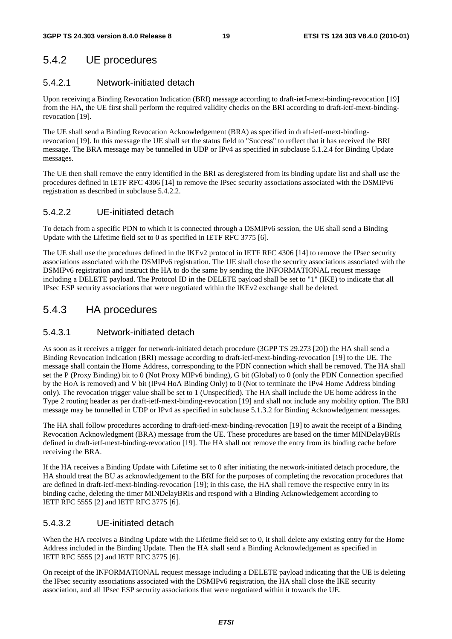### 5.4.2 UE procedures

### 5.4.2.1 Network-initiated detach

Upon receiving a Binding Revocation Indication (BRI) message according to draft-ietf-mext-binding-revocation [19] from the HA, the UE first shall perform the required validity checks on the BRI according to draft-ietf-mext-bindingrevocation [19].

The UE shall send a Binding Revocation Acknowledgement (BRA) as specified in draft-ietf-mext-bindingrevocation [19]. In this message the UE shall set the status field to "Success" to reflect that it has received the BRI message. The BRA message may be tunnelled in UDP or IPv4 as specified in subclause 5.1.2.4 for Binding Update messages.

The UE then shall remove the entry identified in the BRI as deregistered from its binding update list and shall use the procedures defined in IETF RFC 4306 [14] to remove the IPsec security associations associated with the DSMIPv6 registration as described in subclause 5.4.2.2.

### 5.4.2.2 UE-initiated detach

To detach from a specific PDN to which it is connected through a DSMIPv6 session, the UE shall send a Binding Update with the Lifetime field set to 0 as specified in IETF RFC 3775 [6].

The UE shall use the procedures defined in the IKEv2 protocol in IETF RFC 4306 [14] to remove the IPsec security associations associated with the DSMIPv6 registration. The UE shall close the security associations associated with the DSMIPv6 registration and instruct the HA to do the same by sending the INFORMATIONAL request message including a DELETE payload. The Protocol ID in the DELETE payload shall be set to "1" (IKE) to indicate that all IPsec ESP security associations that were negotiated within the IKEv2 exchange shall be deleted.

### 5.4.3 HA procedures

### 5.4.3.1 Network-initiated detach

As soon as it receives a trigger for network-initiated detach procedure (3GPP TS 29.273 [20]) the HA shall send a Binding Revocation Indication (BRI) message according to draft-ietf-mext-binding-revocation [19] to the UE. The message shall contain the Home Address, corresponding to the PDN connection which shall be removed. The HA shall set the P (Proxy Binding) bit to 0 (Not Proxy MIPv6 binding), G bit (Global) to 0 (only the PDN Connection specified by the HoA is removed) and V bit (IPv4 HoA Binding Only) to 0 (Not to terminate the IPv4 Home Address binding only). The revocation trigger value shall be set to 1 (Unspecified). The HA shall include the UE home address in the Type 2 routing header as per draft-ietf-mext-binding-revocation [19] and shall not include any mobility option. The BRI message may be tunnelled in UDP or IPv4 as specified in subclause 5.1.3.2 for Binding Acknowledgement messages.

The HA shall follow procedures according to draft-ietf-mext-binding-revocation [19] to await the receipt of a Binding Revocation Acknowledgment (BRA) message from the UE. These procedures are based on the timer MINDelayBRIs defined in draft-ietf-mext-binding-revocation [19]. The HA shall not remove the entry from its binding cache before receiving the BRA.

If the HA receives a Binding Update with Lifetime set to 0 after initiating the network-initiated detach procedure, the HA should treat the BU as acknowledgement to the BRI for the purposes of completing the revocation procedures that are defined in draft-ietf-mext-binding-revocation [19]; in this case, the HA shall remove the respective entry in its binding cache, deleting the timer MINDelayBRIs and respond with a Binding Acknowledgement according to IETF RFC 5555 [2] and IETF RFC 3775 [6].

### 5.4.3.2 UE-initiated detach

When the HA receives a Binding Update with the Lifetime field set to 0, it shall delete any existing entry for the Home Address included in the Binding Update. Then the HA shall send a Binding Acknowledgement as specified in IETF RFC 5555 [2] and IETF RFC 3775 [6].

On receipt of the INFORMATIONAL request message including a DELETE payload indicating that the UE is deleting the IPsec security associations associated with the DSMIPv6 registration, the HA shall close the IKE security association, and all IPsec ESP security associations that were negotiated within it towards the UE.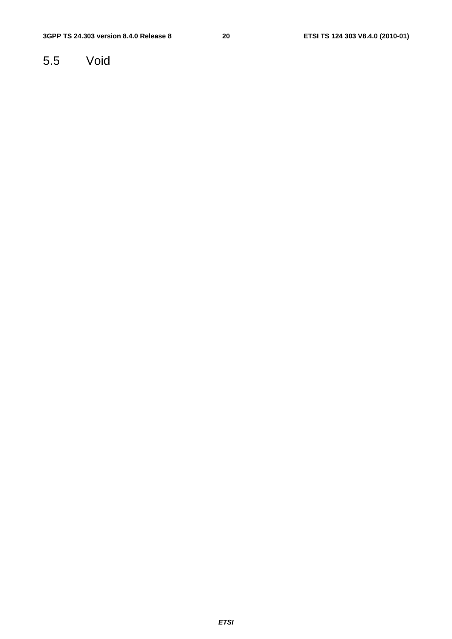## 5.5 Void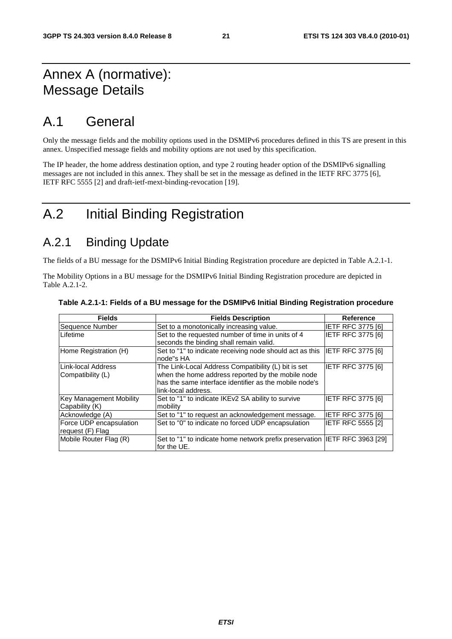## Annex A (normative): Message Details

## A.1 General

Only the message fields and the mobility options used in the DSMIPv6 procedures defined in this TS are present in this annex. Unspecified message fields and mobility options are not used by this specification.

The IP header, the home address destination option, and type 2 routing header option of the DSMIPv6 signalling messages are not included in this annex. They shall be set in the message as defined in the IETF RFC 3775 [6], IETF RFC 5555 [2] and draft-ietf-mext-binding-revocation [19].

## A.2 Initial Binding Registration

## A.2.1 Binding Update

The fields of a BU message for the DSMIPv6 Initial Binding Registration procedure are depicted in Table A.2.1-1.

The Mobility Options in a BU message for the DSMIPv6 Initial Binding Registration procedure are depicted in Table A.2.1-2.

| <b>Fields</b>                               | <b>Fields Description</b>                                                                                                                                                                 | <b>Reference</b>         |
|---------------------------------------------|-------------------------------------------------------------------------------------------------------------------------------------------------------------------------------------------|--------------------------|
| Sequence Number                             | Set to a monotonically increasing value.                                                                                                                                                  | <b>IETF RFC 3775 [6]</b> |
| Lifetime                                    | Set to the requested number of time in units of 4<br>seconds the binding shall remain valid.                                                                                              | <b>IETF RFC 3775 [6]</b> |
| Home Registration (H)                       | Set to "1" to indicate receiving node should act as this<br>node"s HA                                                                                                                     | IETF RFC 3775 [6]        |
| Link-local Address<br>Compatibility (L)     | The Link-Local Address Compatibility (L) bit is set<br>when the home address reported by the mobile node<br>has the same interface identifier as the mobile node's<br>link-local address. | IETF RFC 3775 [6]        |
| Key Management Mobility<br>Capability (K)   | Set to "1" to indicate IKEv2 SA ability to survive<br>mobility                                                                                                                            | <b>IETF RFC 3775 [6]</b> |
| Acknowledge (A)                             | Set to "1" to request an acknowledgement message.                                                                                                                                         | <b>IETF RFC 3775 [6]</b> |
| Force UDP encapsulation<br>request (F) Flag | Set to "0" to indicate no forced UDP encapsulation                                                                                                                                        | <b>IETF RFC 5555 [2]</b> |
| Mobile Router Flag (R)                      | Set to "1" to indicate home network prefix preservation IETF RFC 3963 [29]<br>for the UE.                                                                                                 |                          |

#### **Table A.2.1-1: Fields of a BU message for the DSMIPv6 Initial Binding Registration procedure**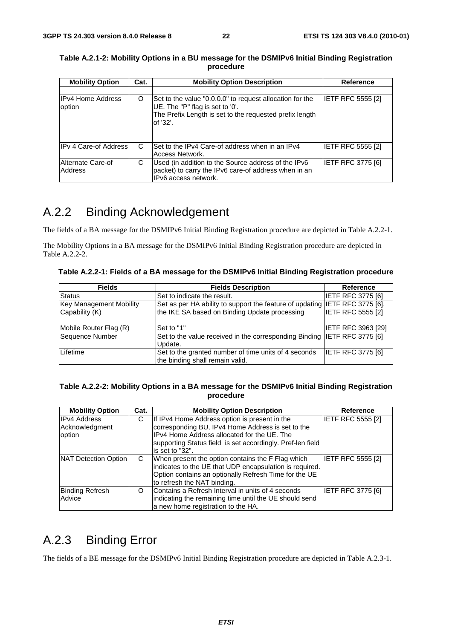| <b>Mobility Option</b>             | Cat. | <b>Mobility Option Description</b>                                                                                                                                 | <b>Reference</b>         |
|------------------------------------|------|--------------------------------------------------------------------------------------------------------------------------------------------------------------------|--------------------------|
|                                    |      |                                                                                                                                                                    |                          |
| <b>IPv4 Home Address</b><br>option | O    | Set to the value "0.0.0.0" to request allocation for the<br>UE. The "P" flag is set to '0'.<br>The Prefix Length is set to the requested prefix length<br>of '32'. | <b>IETF RFC 5555 [2]</b> |
| <b>IPv 4 Care-of Address</b>       | C    | Set to the IPv4 Care-of address when in an IPv4<br>Access Network.                                                                                                 | <b>IETF RFC 5555 [2]</b> |
| Alternate Care-of<br>Address       | С    | Used (in addition to the Source address of the IPv6<br>packet) to carry the IPv6 care-of address when in an<br>IPv6 access network.                                | <b>IETF RFC 3775 [6]</b> |

#### **Table A.2.1-2: Mobility Options in a BU message for the DSMIPv6 Initial Binding Registration procedure**

## A.2.2 Binding Acknowledgement

The fields of a BA message for the DSMIPv6 Initial Binding Registration procedure are depicted in Table A.2.2-1.

The Mobility Options in a BA message for the DSMIPv6 Initial Binding Registration procedure are depicted in Table A.2.2-2.

**Table A.2.2-1: Fields of a BA message for the DSMIPv6 Initial Binding Registration procedure** 

| <b>Fields</b>                                    | <b>Fields Description</b>                                                                                                    | Reference                 |
|--------------------------------------------------|------------------------------------------------------------------------------------------------------------------------------|---------------------------|
| <b>Status</b>                                    | Set to indicate the result.                                                                                                  | <b>IETF RFC 3775 [6]</b>  |
| <b>Key Management Mobility</b><br>Capability (K) | Set as per HA ability to support the feature of updating IETF RFC 3775 [6],<br>the IKE SA based on Binding Update processing | <b>IETF RFC 5555 [2]</b>  |
| Mobile Router Flag (R)                           | Set to "1"                                                                                                                   | <b>IETF RFC 3963 [29]</b> |
| Sequence Number                                  | Set to the value received in the corresponding Binding IETF RFC 3775 [6]<br>Update.                                          |                           |
| Lifetime                                         | Set to the granted number of time units of 4 seconds<br>the binding shall remain valid.                                      | <b>IETF RFC 3775 [6]</b>  |

#### **Table A.2.2-2: Mobility Options in a BA message for the DSMIPv6 Initial Binding Registration procedure**

| <b>Mobility Option</b>                          | Cat. | <b>Mobility Option Description</b>                                                                                                                                                                                                 | Reference                |
|-------------------------------------------------|------|------------------------------------------------------------------------------------------------------------------------------------------------------------------------------------------------------------------------------------|--------------------------|
| <b>IPv4 Address</b><br>Acknowledgment<br>option | С    | If IPv4 Home Address option is present in the<br>corresponding BU, IPv4 Home Address is set to the<br>IPv4 Home Address allocated for the UE. The<br>supporting Status field is set accordingly. Pref-len field<br>is set to "32". | IETF RFC 5555 [2]        |
| NAT Detection Option                            | C    | When present the option contains the F Flag which<br>indicates to the UE that UDP encapsulation is required.<br>Option contains an optionally Refresh Time for the UE<br>to refresh the NAT binding.                               | <b>IETF RFC 5555 [2]</b> |
| <b>Binding Refresh</b><br>Advice                | O    | Contains a Refresh Interval in units of 4 seconds<br>indicating the remaining time until the UE should send<br>a new home registration to the HA.                                                                                  | IETF RFC 3775 [6]        |

## A.2.3 Binding Error

The fields of a BE message for the DSMIPv6 Initial Binding Registration procedure are depicted in Table A.2.3-1.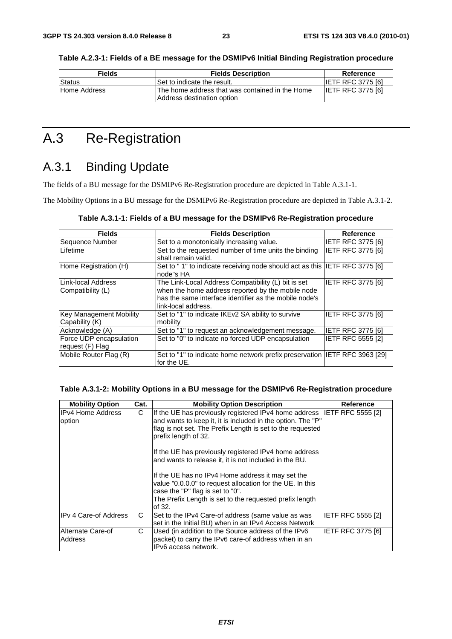**Table A.2.3-1: Fields of a BE message for the DSMIPv6 Initial Binding Registration procedure** 

| <b>Fields</b> | <b>Fields Description</b>                                                     | Reference                |
|---------------|-------------------------------------------------------------------------------|--------------------------|
| Status        | Set to indicate the result.                                                   | <b>IETF RFC 3775 [6]</b> |
| Home Address  | The home address that was contained in the Home<br>Address destination option | <b>IETF RFC 3775 [6]</b> |

## A.3 Re-Registration

## A.3.1 Binding Update

The fields of a BU message for the DSMIPv6 Re-Registration procedure are depicted in Table A.3.1-1.

The Mobility Options in a BU message for the DSMIPv6 Re-Registration procedure are depicted in Table A.3.1-2.

| <b>Fields</b>                                    | <b>Fields Description</b>                                                                                                                                                                 | Reference                |
|--------------------------------------------------|-------------------------------------------------------------------------------------------------------------------------------------------------------------------------------------------|--------------------------|
| Sequence Number                                  | Set to a monotonically increasing value.                                                                                                                                                  | <b>IETF RFC 3775 [6]</b> |
| Lifetime                                         | Set to the requested number of time units the binding<br>shall remain valid.                                                                                                              | <b>IETF RFC 3775 [6]</b> |
| Home Registration (H)                            | Set to "1" to indicate receiving node should act as this IETF RFC 3775 [6]<br>node"s HA                                                                                                   |                          |
| LLink-local Address<br> Compatibility (L)        | The Link-Local Address Compatibility (L) bit is set<br>when the home address reported by the mobile node<br>has the same interface identifier as the mobile node's<br>link-local address. | IETF RFC 3775 [6]        |
| <b>Key Management Mobility</b><br>Capability (K) | Set to "1" to indicate IKEv2 SA ability to survive<br>mobility                                                                                                                            | <b>IETF RFC 3775 [6]</b> |
| Acknowledge (A)                                  | Set to "1" to request an acknowledgement message.                                                                                                                                         | <b>IETF RFC 3775 [6]</b> |
| Force UDP encapsulation<br>request (F) Flag      | Set to "0" to indicate no forced UDP encapsulation                                                                                                                                        | <b>IETF RFC 5555 [2]</b> |
| Mobile Router Flag (R)                           | Set to "1" to indicate home network prefix preservation  IETF RFC 3963 [29]<br>for the UE.                                                                                                |                          |

#### **Table A.3.1-2: Mobility Options in a BU message for the DSMIPv6 Re-Registration procedure**

| <b>Mobility Option</b>       | Cat. | <b>Mobility Option Description</b>                                                                                                                                                                                           | Reference         |
|------------------------------|------|------------------------------------------------------------------------------------------------------------------------------------------------------------------------------------------------------------------------------|-------------------|
| IIPv4 Home Address<br>option | C    | If the UE has previously registered IPv4 home address IETF RFC 5555 [2]<br>and wants to keep it, it is included in the option. The "P"<br>flag is not set. The Prefix Length is set to the requested<br>prefix length of 32. |                   |
|                              |      | If the UE has previously registered IPv4 home address<br>and wants to release it, it is not included in the BU.                                                                                                              |                   |
|                              |      | If the UE has no IPv4 Home address it may set the<br>value "0.0.0.0" to request allocation for the UE. In this<br>case the "P" flag is set to "0".                                                                           |                   |
|                              |      | The Prefix Length is set to the requested prefix length<br>of 32.                                                                                                                                                            |                   |
| <b>IPv 4 Care-of Address</b> | C    | Set to the IPv4 Care-of address (same value as was<br>set in the Initial BU) when in an IPv4 Access Network                                                                                                                  | IETF RFC 5555 [2] |
| Alternate Care-of<br>Address | C    | Used (in addition to the Source address of the IPv6<br>packet) to carry the IPv6 care-of address when in an<br>IPv6 access network.                                                                                          | IETF RFC 3775 [6] |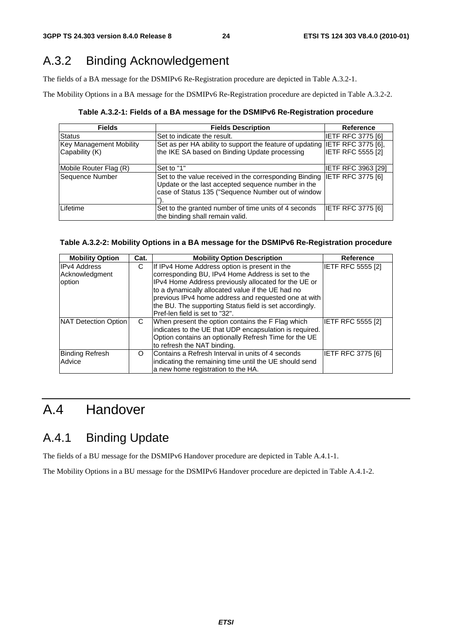## A.3.2 Binding Acknowledgement

The fields of a BA message for the DSMIPv6 Re-Registration procedure are depicted in Table A.3.2-1.

The Mobility Options in a BA message for the DSMIPv6 Re-Registration procedure are depicted in Table A.3.2-2.

**Table A.3.2-1: Fields of a BA message for the DSMIPv6 Re-Registration procedure** 

| <b>Fields</b>                                    | <b>Fields Description</b>                                                                                                                                                            | <b>Reference</b>         |
|--------------------------------------------------|--------------------------------------------------------------------------------------------------------------------------------------------------------------------------------------|--------------------------|
| <b>Status</b>                                    | Set to indicate the result.                                                                                                                                                          | <b>IETF RFC 3775 [6]</b> |
| <b>Key Management Mobility</b><br>Capability (K) | Set as per HA ability to support the feature of updating IETF RFC 3775 [6],<br>the IKE SA based on Binding Update processing                                                         | <b>IETF RFC 5555 [2]</b> |
| Mobile Router Flag (R)                           | Set to "1"                                                                                                                                                                           | IETF RFC 3963 [29]       |
| Sequence Number                                  | Set to the value received in the corresponding Binding IETF RFC 3775 [6]<br>Update or the last accepted sequence number in the<br>case of Status 135 ("Sequence Number out of window |                          |
| Lifetime                                         | Set to the granted number of time units of 4 seconds<br>the binding shall remain valid.                                                                                              | <b>IETF RFC 3775 [6]</b> |

#### **Table A.3.2-2: Mobility Options in a BA message for the DSMIPv6 Re-Registration procedure**

| <b>Mobility Option</b> | Cat. | <b>Mobility Option Description</b>                      | <b>Reference</b>         |
|------------------------|------|---------------------------------------------------------|--------------------------|
| <b>IPv4 Address</b>    | С    | If IPv4 Home Address option is present in the           | IETF RFC 5555 [2]        |
| Acknowledgment         |      | corresponding BU, IPv4 Home Address is set to the       |                          |
| option                 |      | IPv4 Home Address previously allocated for the UE or    |                          |
|                        |      | to a dynamically allocated value if the UE had no       |                          |
|                        |      | previous IPv4 home address and requested one at with    |                          |
|                        |      | the BU. The supporting Status field is set accordingly. |                          |
|                        |      | Pref-len field is set to "32".                          |                          |
| NAT Detection Option   | C    | When present the option contains the F Flag which       | IETF RFC 5555 [2]        |
|                        |      | indicates to the UE that UDP encapsulation is required. |                          |
|                        |      | Option contains an optionally Refresh Time for the UE   |                          |
|                        |      | to refresh the NAT binding.                             |                          |
| <b>Binding Refresh</b> | O    | Contains a Refresh Interval in units of 4 seconds       | <b>IETF RFC 3775 [6]</b> |
| Advice                 |      | indicating the remaining time until the UE should send  |                          |
|                        |      | a new home registration to the HA.                      |                          |

## A.4 Handover

## A.4.1 Binding Update

The fields of a BU message for the DSMIPv6 Handover procedure are depicted in Table A.4.1-1.

The Mobility Options in a BU message for the DSMIPv6 Handover procedure are depicted in Table A.4.1-2.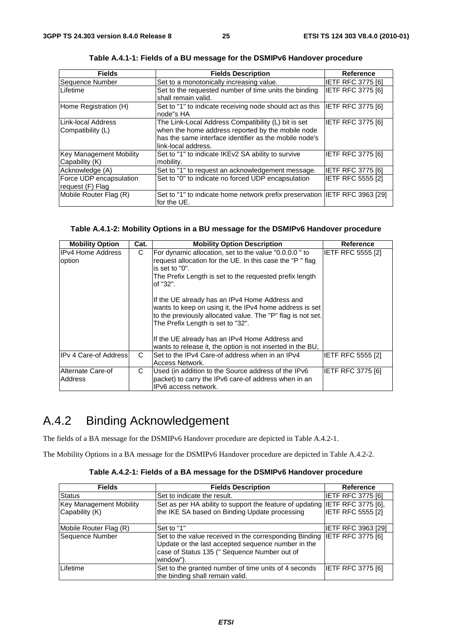| <b>Fields</b>                                     | <b>Fields Description</b>                                                                                                                                                                 | <b>Reference</b>         |
|---------------------------------------------------|-------------------------------------------------------------------------------------------------------------------------------------------------------------------------------------------|--------------------------|
| Sequence Number                                   | Set to a monotonically increasing value.                                                                                                                                                  | <b>IETF RFC 3775 [6]</b> |
| Lifetime                                          | Set to the requested number of time units the binding<br>shall remain valid.                                                                                                              | <b>IETF RFC 3775 [6]</b> |
| Home Registration (H)                             | Set to "1" to indicate receiving node should act as this<br>node"s HA                                                                                                                     | <b>IETF RFC 3775 [6]</b> |
| Link-local Address<br> Compatibility (L)          | The Link-Local Address Compatibility (L) bit is set<br>when the home address reported by the mobile node<br>has the same interface identifier as the mobile node's<br>link-local address. | IETF RFC 3775 [6]        |
| <b>Key Management Mobility</b><br> Capability (K) | Set to "1" to indicate IKEv2 SA ability to survive<br>mobility.                                                                                                                           | IETF RFC 3775 [6]        |
| Acknowledge (A)                                   | Set to "1" to request an acknowledgement message.                                                                                                                                         | <b>IETF RFC 3775 [6]</b> |
| Force UDP encapsulation<br>request (F) Flag       | Set to "0" to indicate no forced UDP encapsulation                                                                                                                                        | <b>IETF RFC 5555 [2]</b> |
| Mobile Router Flag (R)                            | Set to "1" to indicate home network prefix preservation  IETF RFC 3963 [29]<br>for the UE.                                                                                                |                          |

**Table A.4.1-1: Fields of a BU message for the DSMIPv6 Handover procedure** 

### **Table A.4.1-2: Mobility Options in a BU message for the DSMIPv6 Handover procedure**

| <b>Mobility Option</b>             | Cat.                                                                                                                                                                                                            | <b>Mobility Option Description</b>                                                                                                                                                                                                                                                                                            | <b>Reference</b>         |
|------------------------------------|-----------------------------------------------------------------------------------------------------------------------------------------------------------------------------------------------------------------|-------------------------------------------------------------------------------------------------------------------------------------------------------------------------------------------------------------------------------------------------------------------------------------------------------------------------------|--------------------------|
| <b>IPv4 Home Address</b><br>option | C<br>For dynamic allocation, set to the value "0.0.0.0" to<br>request allocation for the UE. In this case the "P" flag<br>is set to "0".<br>The Prefix Length is set to the requested prefix length<br>of "32". |                                                                                                                                                                                                                                                                                                                               | <b>IETF RFC 5555 [2]</b> |
|                                    |                                                                                                                                                                                                                 | If the UE already has an IPv4 Home Address and<br>wants to keep on using it, the IPv4 home address is set<br>to the previously allocated value. The "P" flag is not set.<br>The Prefix Length is set to "32".<br>If the UE already has an IPv4 Home Address and<br>wants to release it, the option is not inserted in the BU, |                          |
| IIPv 4 Care-of Addressl            | C.                                                                                                                                                                                                              | Set to the IPv4 Care-of address when in an IPv4<br>Access Network.                                                                                                                                                                                                                                                            | <b>IETF RFC 5555 [2]</b> |
| Alternate Care-of<br>Address       | C                                                                                                                                                                                                               | Used (in addition to the Source address of the IPv6<br>packet) to carry the IPv6 care-of address when in an<br>IPv6 access network.                                                                                                                                                                                           | <b>IETF RFC 3775 [6]</b> |

## A.4.2 Binding Acknowledgement

The fields of a BA message for the DSMIPv6 Handover procedure are depicted in Table A.4.2-1.

The Mobility Options in a BA message for the DSMIPv6 Handover procedure are depicted in Table A.4.2-2.

|  | Table A.4.2-1: Fields of a BA message for the DSMIPv6 Handover procedure |
|--|--------------------------------------------------------------------------|
|--|--------------------------------------------------------------------------|

| <b>Fields</b>                  | <b>Fields Description</b>                                                                                                                                                 | <b>Reference</b>          |
|--------------------------------|---------------------------------------------------------------------------------------------------------------------------------------------------------------------------|---------------------------|
| Status                         | Set to indicate the result.                                                                                                                                               | <b>IETF RFC 3775 [6]</b>  |
| <b>Key Management Mobility</b> | Set as per HA ability to support the feature of updating IETF RFC 3775 [6],                                                                                               |                           |
| Capability (K)                 | the IKE SA based on Binding Update processing                                                                                                                             | <b>IETF RFC 5555 [2]</b>  |
| Mobile Router Flag (R)         | Set to "1"                                                                                                                                                                | <b>IETF RFC 3963 [29]</b> |
| Sequence Number                | Set to the value received in the corresponding Binding<br>Update or the last accepted sequence number in the<br>case of Status 135 (" Sequence Number out of<br>window"). | <b>IETF RFC 3775 [6]</b>  |
| Lifetime                       | Set to the granted number of time units of 4 seconds<br>the binding shall remain valid.                                                                                   | IETF RFC 3775 [6]         |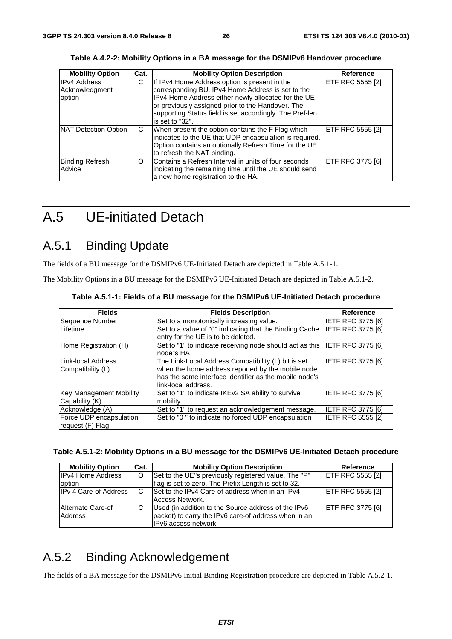| <b>Mobility Option</b>      | Cat. | <b>Mobility Option Description</b>                       | <b>Reference</b>         |
|-----------------------------|------|----------------------------------------------------------|--------------------------|
| <b>IPv4 Address</b>         | С    | If IPv4 Home Address option is present in the            | <b>IETF RFC 5555 [2]</b> |
| Acknowledgment              |      | corresponding BU, IPv4 Home Address is set to the        |                          |
| option                      |      | IPv4 Home Address either newly allocated for the UE      |                          |
|                             |      | or previously assigned prior to the Handover. The        |                          |
|                             |      | supporting Status field is set accordingly. The Pref-len |                          |
|                             |      | is set to "32".                                          |                          |
| <b>NAT Detection Option</b> | C    | When present the option contains the F Flag which        | <b>IETF RFC 5555 [2]</b> |
|                             |      | indicates to the UE that UDP encapsulation is required.  |                          |
|                             |      | Option contains an optionally Refresh Time for the UE    |                          |
|                             |      | to refresh the NAT binding.                              |                          |
| <b>Binding Refresh</b>      | O    | Contains a Refresh Interval in units of four seconds     | <b>IETF RFC 3775 [6]</b> |
| Advice                      |      | indicating the remaining time until the UE should send   |                          |
|                             |      | a new home registration to the HA.                       |                          |

**Table A.4.2-2: Mobility Options in a BA message for the DSMIPv6 Handover procedure** 

## A.5 UE-initiated Detach

## A.5.1 Binding Update

The fields of a BU message for the DSMIPv6 UE-Initiated Detach are depicted in Table A.5.1-1.

The Mobility Options in a BU message for the DSMIPv6 UE-Initiated Detach are depicted in Table A.5.1-2.

| <b>Fields</b>                                    | <b>Fields Description</b>                                                                                                                                                                 | <b>Reference</b>         |
|--------------------------------------------------|-------------------------------------------------------------------------------------------------------------------------------------------------------------------------------------------|--------------------------|
| Sequence Number                                  | Set to a monotonically increasing value.                                                                                                                                                  | <b>IETF RFC 3775 [6]</b> |
| Lifetime                                         | Set to a value of "0" indicating that the Binding Cache<br>entry for the UE is to be deleted.                                                                                             | <b>IETF RFC 3775 [6]</b> |
| Home Registration (H)                            | Set to "1" to indicate receiving node should act as this IETF RFC 3775 [6]<br>node"s HA                                                                                                   |                          |
| Link-local Address<br>Compatibility (L)          | The Link-Local Address Compatibility (L) bit is set<br>when the home address reported by the mobile node<br>has the same interface identifier as the mobile node's<br>link-local address. | <b>IETF RFC 3775 [6]</b> |
| <b>Key Management Mobility</b><br>Capability (K) | Set to "1" to indicate IKEv2 SA ability to survive<br>mobility                                                                                                                            | <b>IETF RFC 3775 [6]</b> |
| Acknowledge (A)                                  | Set to "1" to request an acknowledgement message.                                                                                                                                         | <b>IETF RFC 3775 [6]</b> |
| Force UDP encapsulation<br>request (F) Flag      | Set to "0" to indicate no forced UDP encapsulation                                                                                                                                        | <b>IETF RFC 5555 [2]</b> |

**Table A.5.1-1: Fields of a BU message for the DSMIPv6 UE-Initiated Detach procedure** 

| Table A.5.1-2: Mobility Options in a BU message for the DSMIPv6 UE-Initiated Detach procedure |  |  |  |  |  |
|-----------------------------------------------------------------------------------------------|--|--|--|--|--|
|-----------------------------------------------------------------------------------------------|--|--|--|--|--|

| <b>Mobility Option</b>       | Cat. | <b>Mobility Option Description</b>                   | Reference                |
|------------------------------|------|------------------------------------------------------|--------------------------|
| <b>IPv4 Home Address</b>     | O    | Set to the UE"s previously registered value. The "P" | <b>IETF RFC 5555 [2]</b> |
| option                       |      | flag is set to zero. The Prefix Length is set to 32. |                          |
| <b>IPv 4 Care-of Address</b> | C    | Set to the IPv4 Care-of address when in an IPv4      | <b>IETF RFC 5555 [2]</b> |
|                              |      | Access Network.                                      |                          |
| Alternate Care-of            |      | Used (in addition to the Source address of the IPv6  | <b>IETF RFC 3775 [6]</b> |
| Address                      |      | packet) to carry the IPv6 care-of address when in an |                          |
|                              |      | IPv6 access network.                                 |                          |

## A.5.2 Binding Acknowledgement

The fields of a BA message for the DSMIPv6 Initial Binding Registration procedure are depicted in Table A.5.2-1.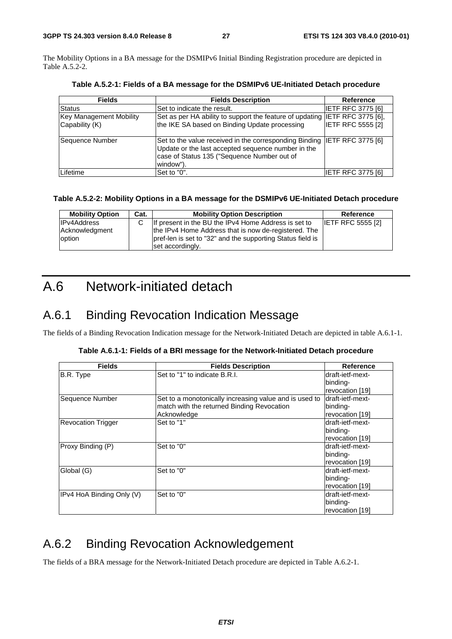The Mobility Options in a BA message for the DSMIPv6 Initial Binding Registration procedure are depicted in Table A.5.2-2.

| <b>Fields</b>                                    | <b>Fields Description</b>                                                                                                                                                                   | Reference                |
|--------------------------------------------------|---------------------------------------------------------------------------------------------------------------------------------------------------------------------------------------------|--------------------------|
| Status                                           | Set to indicate the result.                                                                                                                                                                 | <b>IETF RFC 3775 [6]</b> |
| <b>Key Management Mobility</b><br>Capability (K) | Set as per HA ability to support the feature of updating IETF RFC 3775 [6],<br>the IKE SA based on Binding Update processing                                                                | <b>IETF RFC 5555 [2]</b> |
| Sequence Number                                  | Set to the value received in the corresponding Binding IIETF RFC 3775 [6]<br>Update or the last accepted sequence number in the<br>case of Status 135 ("Sequence Number out of<br>window"). |                          |
| Lifetime                                         | Set to "0".                                                                                                                                                                                 | IETF RFC 3775 [6]        |

**Table A.5.2-1: Fields of a BA message for the DSMIPv6 UE-Initiated Detach procedure** 

### **Table A.5.2-2: Mobility Options in a BA message for the DSMIPv6 UE-Initiated Detach procedure**

| <b>Mobility Option</b>   | Cat. | <b>Mobility Option Description</b>                                                                                 | Reference                |
|--------------------------|------|--------------------------------------------------------------------------------------------------------------------|--------------------------|
| <b>IPv4Address</b>       |      | If present in the BU the IPv4 Home Address is set to                                                               | <b>IETF RFC 5555 [2]</b> |
| Acknowledgment<br>option |      | the IPv4 Home Address that is now de-registered. The<br>pref-len is set to "32" and the supporting Status field is |                          |
|                          |      | set accordingly.                                                                                                   |                          |

## A.6 Network-initiated detach

## A.6.1 Binding Revocation Indication Message

The fields of a Binding Revocation Indication message for the Network-Initiated Detach are depicted in table A.6.1-1.

|  | Table A.6.1-1: Fields of a BRI message for the Network-Initiated Detach procedure |  |
|--|-----------------------------------------------------------------------------------|--|
|  |                                                                                   |  |

| <b>Fields</b>             | <b>Fields Description</b>                              | <b>Reference</b> |
|---------------------------|--------------------------------------------------------|------------------|
| B.R. Type                 | Set to "1" to indicate B.R.I.                          | draft-ietf-mext- |
|                           |                                                        | binding-         |
|                           |                                                        | revocation [19]  |
| Sequence Number           | Set to a monotonically increasing value and is used to | draft-ietf-mext- |
|                           | match with the returned Binding Revocation             | binding-         |
|                           | Acknowledge                                            | revocation [19]  |
| <b>Revocation Trigger</b> | Set to "1"                                             | draft-ietf-mext- |
|                           |                                                        | binding-         |
|                           |                                                        | revocation [19]  |
| Proxy Binding (P)         | Set to "0"                                             | draft-ietf-mext- |
|                           |                                                        | binding-         |
|                           |                                                        | revocation [19]  |
| Global (G)                | Set to "0"                                             | draft-ietf-mext- |
|                           |                                                        | binding-         |
|                           |                                                        | revocation [19]  |
| IPv4 HoA Binding Only (V) | Set to "0"                                             | draft-ietf-mext- |
|                           |                                                        | binding-         |
|                           |                                                        | revocation [19]  |

## A.6.2 Binding Revocation Acknowledgement

The fields of a BRA message for the Network-Initiated Detach procedure are depicted in Table A.6.2-1.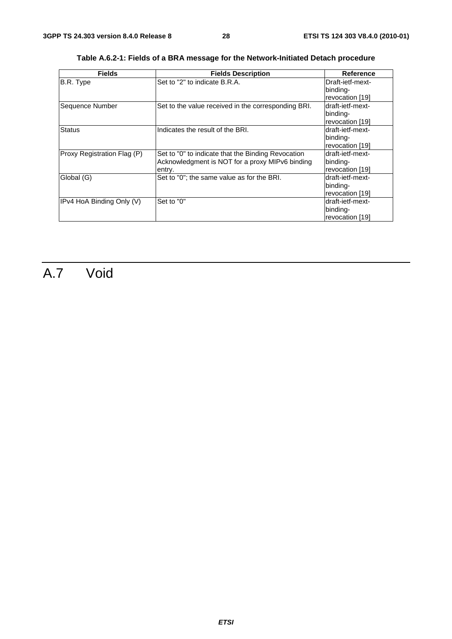| <b>Fields</b>               | <b>Fields Description</b>                           | Reference        |  |  |
|-----------------------------|-----------------------------------------------------|------------------|--|--|
| B.R. Type                   | Set to "2" to indicate B.R.A.                       | Draft-ietf-mext- |  |  |
|                             |                                                     | binding-         |  |  |
|                             |                                                     | revocation [19]  |  |  |
| Sequence Number             | Set to the value received in the corresponding BRI. | draft-ietf-mext- |  |  |
|                             |                                                     | binding-         |  |  |
|                             |                                                     | revocation [19]  |  |  |
| <b>Status</b>               | Indicates the result of the BRI.                    | draft-ietf-mext- |  |  |
|                             |                                                     | binding-         |  |  |
|                             |                                                     | revocation [19]  |  |  |
| Proxy Registration Flag (P) | Set to "0" to indicate that the Binding Revocation  | draft-ietf-mext- |  |  |
|                             | Acknowledgment is NOT for a proxy MIPv6 binding     | binding-         |  |  |
|                             | entry.                                              | revocation [19]  |  |  |
| Global (G)                  | Set to "0"; the same value as for the BRI.          | draft-ietf-mext- |  |  |
|                             |                                                     | binding-         |  |  |
|                             |                                                     | revocation [19]  |  |  |
| IPv4 HoA Binding Only (V)   | Set to "0"                                          | draft-ietf-mext- |  |  |
|                             |                                                     | binding-         |  |  |
|                             |                                                     | revocation [19]  |  |  |

**Table A.6.2-1: Fields of a BRA message for the Network-Initiated Detach procedure** 

## A.7 Void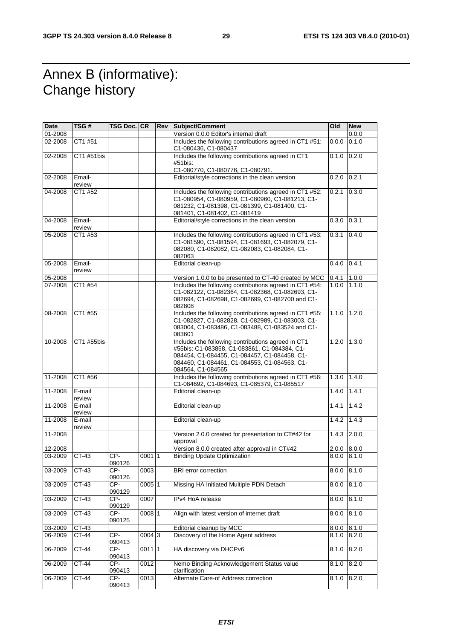## Annex B (informative): Change history

| Date    | TSG#             | TSG Doc. CR     |          | <b>Rev Subject/Comment</b>                                                                                                                                                                                              | Old               | <b>New</b> |
|---------|------------------|-----------------|----------|-------------------------------------------------------------------------------------------------------------------------------------------------------------------------------------------------------------------------|-------------------|------------|
| 01-2008 |                  |                 |          | Version 0.0.0 Editor's internal draft                                                                                                                                                                                   |                   | 0.0.0      |
| 02-2008 | CT1 #51          |                 |          | Includes the following contributions agreed in CT1 #51:<br>C1-080436, C1-080437                                                                                                                                         | 0.0.0             | 0.1.0      |
| 02-2008 | CT1 #51bis       |                 |          | Includes the following contributions agreed in CT1<br>#51bis:                                                                                                                                                           | 0.1.0             | 0.2.0      |
|         |                  |                 |          | C1-080770, C1-080776, C1-080791.                                                                                                                                                                                        |                   |            |
| 02-2008 | Email-<br>review |                 |          | Editorial/style corrections in the clean version                                                                                                                                                                        | 0.2.0             | 0.2.1      |
| 04-2008 | CT1 #52          |                 |          | Includes the following contributions agreed in CT1 #52:<br>C1-080954, C1-080959, C1-080960, C1-081213, C1-<br>081232, C1-081398, C1-081399, C1-081400, C1-<br>081401, C1-081402, C1-081419                              | 0.2.1             | 0.3.0      |
| 04-2008 | Email-<br>review |                 |          | Editorial/style corrections in the clean version                                                                                                                                                                        | 0.3.0             | 0.3.1      |
| 05-2008 | CT1 #53          |                 |          | Includes the following contributions agreed in CT1 #53:<br>C1-081590, C1-081594, C1-081693, C1-082079, C1-<br>082080, C1-082082, C1-082083, C1-082084, C1-<br>082063                                                    | 0.3.1             | 0.4.0      |
| 05-2008 | Email-<br>review |                 |          | Editorial clean-up                                                                                                                                                                                                      | $0.4.0$ 0.4.1     |            |
| 05-2008 |                  |                 |          | Version 1.0.0 to be presented to CT-40 created by MCC                                                                                                                                                                   | 0.4.1             | 1.0.0      |
| 07-2008 | CT1 #54          |                 |          | Includes the following contributions agreed in CT1 #54:<br>C1-082122, C1-082364, C1-082368, C1-082693, C1-<br>082694, C1-082698, C1-082699, C1-082700 and C1-<br>082808                                                 | 1.0.0             | 1.1.0      |
| 08-2008 | CT1 #55          |                 |          | Includes the following contributions agreed in CT1 #55:<br>C1-082827, C1-082828, C1-082989, C1-083003, C1-<br>083004, C1-083486, C1-083488, C1-083524 and C1-<br>083601                                                 | $1.1.0$   $1.2.0$ |            |
| 10-2008 | CT1 #55bis       |                 |          | Includes the following contributions agreed in CT1<br>#55bis: C1-083858, C1-083861, C1-084384, C1-<br>084454, C1-084455, C1-084457, C1-084458, C1-<br>084460, C1-084461, C1-084553, C1-084563, C1-<br>084564, C1-084565 | 1.2.0             | 1.3.0      |
| 11-2008 | CT1 #56          |                 |          | Includes the following contributions agreed in CT1 #56:<br>C1-084692, C1-084693, C1-085379, C1-085517                                                                                                                   | 1.3.0             | 1.4.0      |
| 11-2008 | E-mail<br>review |                 |          | Editorial clean-up                                                                                                                                                                                                      | 1.4.0             | 1.4.1      |
| 11-2008 | E-mail<br>review |                 |          | Editorial clean-up                                                                                                                                                                                                      | 1.4.1             | 1.4.2      |
| 11-2008 | E-mail<br>review |                 |          | Editorial clean-up                                                                                                                                                                                                      | 1.4.2             | 1.4.3      |
| 11-2008 |                  |                 |          | Version 2.0.0 created for presentation to CT#42 for<br>approval                                                                                                                                                         | 1.4.3             | 2.0.0      |
| 12-2008 |                  |                 |          | Version 8.0.0 created after approval in CT#42                                                                                                                                                                           | 2.0.0             | 8.0.0      |
| 03-2009 | CT-43            | CP-<br>090126   | 00011    | <b>Binding Update Optimization</b>                                                                                                                                                                                      | 8.0.0             | 8.1.0      |
| 03-2009 | $CT-43$          | $CP-$<br>090126 | 0003     | <b>BRI</b> error correction                                                                                                                                                                                             | 8.0.0             | 8.1.0      |
| 03-2009 | $CT-43$          | CP-<br>090129   | 0005 1   | Missing HA Initiated Multiple PDN Detach                                                                                                                                                                                | 8.0.0             | 8.1.0      |
| 03-2009 | $CT-43$          | CP-<br>090129   | 0007     | IPv4 HoA release                                                                                                                                                                                                        | 8.0.0             | 8.1.0      |
| 03-2009 | CT-43            | CP-<br>090125   | 0008 1   | Align with latest version of internet draft                                                                                                                                                                             | 8.0.0             | 8.1.0      |
| 03-2009 | CT-43            |                 |          | Editorial cleanup by MCC                                                                                                                                                                                                | 8.0.0             | 8.1.0      |
| 06-2009 | CT-44            | CP-<br>090413   | 0004 3   | Discovery of the Home Agent address                                                                                                                                                                                     | 8.1.0             | 8.2.0      |
| 06-2009 | $CT-44$          | $CP-$<br>090413 | $0011$ 1 | HA discovery via DHCPv6                                                                                                                                                                                                 | 8.1.0             | 8.2.0      |
| 06-2009 | $CT-44$          | $CP-$<br>090413 | 0012     | Nemo Binding Acknowledgement Status value<br>clarification                                                                                                                                                              | 8.1.0             | 8.2.0      |
| 06-2009 | CT-44            | CP-<br>090413   | 0013     | Alternate Care-of Address correction                                                                                                                                                                                    | 8.1.0             | 8.2.0      |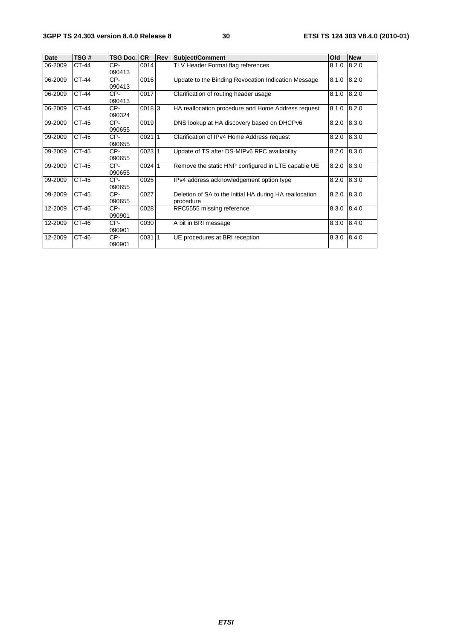| <b>Date</b> | TSG#         | <b>TSG Doc. ICR</b> |          | Rev | <b>Subject/Comment</b>                                               | Old             | <b>New</b> |
|-------------|--------------|---------------------|----------|-----|----------------------------------------------------------------------|-----------------|------------|
| 06-2009     | CT-44        | CP-<br>090413       | 0014     |     | TLV Header Format flag references                                    | 8.1.0 8.2.0     |            |
| 06-2009     | <b>CT-44</b> | CP-<br>090413       | 0016     |     | Update to the Binding Revocation Indication Message                  | 8.1.0 8.2.0     |            |
| 06-2009     | CT-44        | CP-<br>090413       | 0017     |     | Clarification of routing header usage                                | 8.1.0 8.2.0     |            |
| 06-2009     | CT-44        | CP-<br>090324       | 00183    |     | HA reallocation procedure and Home Address request                   | 8.1.0 8.2.0     |            |
| 09-2009     | CT-45        | CP-<br>090655       | 0019     |     | DNS lookup at HA discovery based on DHCPv6                           | $8.2.0$ $8.3.0$ |            |
| 09-2009     | CT-45        | CP-<br>090655       | 002111   |     | Clarification of IPv4 Home Address request                           | $8.2.0$ $8.3.0$ |            |
| 09-2009     | CT-45        | CP-<br>090655       | 002311   |     | Update of TS after DS-MIPv6 RFC availability                         | 8.2.0 8.3.0     |            |
| 09-2009     | CT-45        | CP-<br>090655       | $0024$ 1 |     | Remove the static HNP configured in LTE capable UE                   | 8.2.0 8.3.0     |            |
| 09-2009     | CT-45        | CP-<br>090655       | 0025     |     | IPv4 address acknowledgement option type                             | 8.2.0 8.3.0     |            |
| 09-2009     | CT-45        | CP-<br>090655       | 0027     |     | Deletion of SA to the initial HA during HA reallocation<br>procedure | 8.2.0 8.3.0     |            |
| 12-2009     | CT-46        | CP-<br>090901       | 0028     |     | RFC5555 missing reference                                            | 8.3.0           | 8.4.0      |
| 12-2009     | CT-46        | CP-<br>090901       | 0030     |     | A bit in BRI message                                                 | 8.3.0 8.4.0     |            |
| 12-2009     | CT-46        | CP-<br>090901       | 00311    |     | UE procedures at BRI reception                                       | 8.3.0 8.4.0     |            |